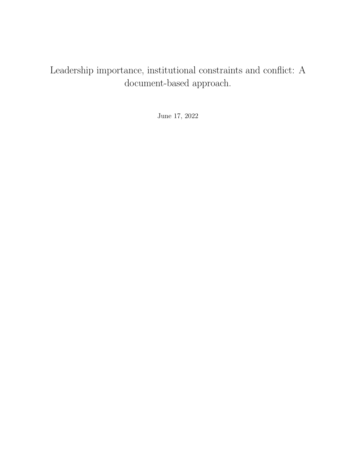# Leadership importance, institutional constraints and conflict: A document-based approach.

June 17, 2022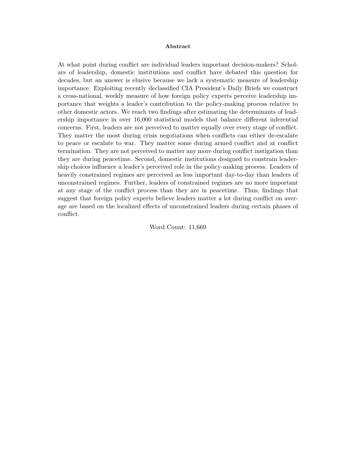### Abstract

At what point during conflict are individual leaders important decision-makers? Scholars of leadership, domestic institutions and conflict have debated this question for decades, but an answer is elusive because we lack a systematic measure of leadership importance. Exploiting recently declassified CIA President's Daily Briefs we construct a cross-national, weekly measure of how foreign policy experts perceive leadership importance that weights a leader's contribution to the policy-making process relative to other domestic actors. We reach two findings after estimating the determinants of leadership importance in over 16,000 statistical models that balance different inferential concerns. First, leaders are not perceived to matter equally over every stage of conflict. They matter the most during crisis negotiations when conflicts can either de-escalate to peace or escalate to war. They matter some during armed conflict and at conflict termination. They are not perceived to matter any more during conflict instigation than they are during peacetime. Second, domestic institutions designed to constrain leadership choices influence a leader's perceived role in the policy-making process. Leaders of heavily constrained regimes are perceived as less important day-to-day than leaders of unconstrained regimes. Further, leaders of constrained regimes are no more important at any stage of the conflict process than they are in peacetime. Thus, findings that suggest that foreign policy experts believe leaders matter a lot during conflict on average are based on the localized effects of unconstrained leaders during certain phases of conflict.

Word Count: 11,669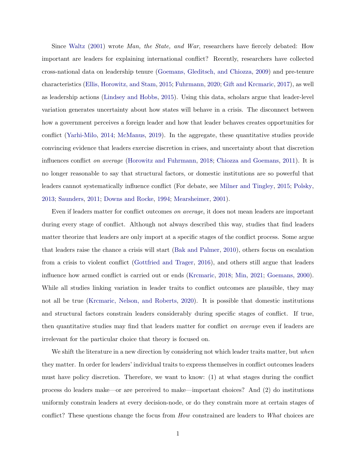Since [Waltz](#page-41-0) [\(2001\)](#page-41-0) wrote Man, the State, and War, researchers have fiercely debated: How important are leaders for explaining international conflict? Recently, researchers have collected cross-national data on leadership tenure [\(Goemans, Gleditsch, and Chiozza,](#page-39-0) [2009\)](#page-39-0) and pre-tenure characteristics [\(Ellis, Horowitz, and Stam,](#page-38-0) [2015;](#page-38-0) [Fuhrmann,](#page-39-1) [2020;](#page-39-1) [Gift and Krcmaric,](#page-39-2) [2017\)](#page-39-2), as well as leadership actions [\(Lindsey and Hobbs,](#page-40-0) [2015\)](#page-40-0). Using this data, scholars argue that leader-level variation generates uncertainty about how states will behave in a crisis. The disconnect between how a government perceives a foreign leader and how that leader behaves creates opportunities for conflict [\(Yarhi-Milo,](#page-41-1) [2014;](#page-41-1) [McManus,](#page-40-1) [2019\)](#page-40-1). In the aggregate, these quantitative studies provide convincing evidence that leaders exercise discretion in crises, and uncertainty about that discretion influences conflict on average [\(Horowitz and Fuhrmann,](#page-39-3) [2018;](#page-39-3) [Chiozza and Goemans,](#page-38-1) [2011\)](#page-38-1). It is no longer reasonable to say that structural factors, or domestic institutions are so powerful that leaders cannot systematically influence conflict (For debate, see [Milner and Tingley,](#page-41-2) [2015;](#page-41-2) [Polsky,](#page-41-3) [2013;](#page-41-3) [Saunders,](#page-41-4) [2011;](#page-41-4) [Downs and Rocke,](#page-38-2) [1994;](#page-38-2) [Mearsheimer,](#page-40-2) [2001\)](#page-40-2).

Even if leaders matter for conflict outcomes on average, it does not mean leaders are important during every stage of conflict. Although not always described this way, studies that find leaders matter theorize that leaders are only import at a specific stages of the conflict process. Some argue that leaders raise the chance a crisis will start [\(Bak and Palmer,](#page-38-3) [2010\)](#page-38-3), others focus on escalation from a crisis to violent conflict [\(Gottfried and Trager,](#page-39-4) [2016\)](#page-39-4), and others still argue that leaders influence how armed conflict is carried out or ends [\(Krcmaric,](#page-40-3) [2018;](#page-40-3) [Min,](#page-41-5) [2021;](#page-41-5) [Goemans,](#page-39-5) [2000\)](#page-39-5). While all studies linking variation in leader traits to conflict outcomes are plausible, they may not all be true [\(Krcmaric, Nelson, and Roberts,](#page-40-4) [2020\)](#page-40-4). It is possible that domestic institutions and structural factors constrain leaders considerably during specific stages of conflict. If true, then quantitative studies may find that leaders matter for conflict on average even if leaders are irrelevant for the particular choice that theory is focused on.

We shift the literature in a new direction by considering not which leader traits matter, but when they matter. In order for leaders' individual traits to express themselves in conflict outcomes leaders must have policy discretion. Therefore, we want to know: (1) at what stages during the conflict process do leaders make—or are perceived to make—important choices? And (2) do institutions uniformly constrain leaders at every decision-node, or do they constrain more at certain stages of conflict? These questions change the focus from How constrained are leaders to What choices are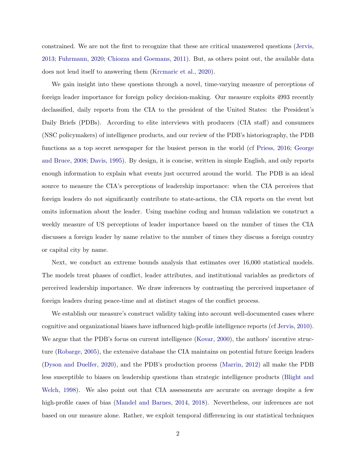constrained. We are not the first to recognize that these are critical unanswered questions [\(Jervis,](#page-39-6) [2013;](#page-39-6) [Fuhrmann,](#page-39-1) [2020;](#page-39-1) [Chiozza and Goemans,](#page-38-1) [2011\)](#page-38-1). But, as others point out, the available data does not lend itself to answering them [\(Krcmaric et al.,](#page-40-4) [2020\)](#page-40-4).

We gain insight into these questions through a novel, time-varying measure of perceptions of foreign leader importance for foreign policy decision-making. Our measure exploits 4993 recently declassified, daily reports from the CIA to the president of the United States: the President's Daily Briefs (PDBs). According to elite interviews with producers (CIA staff) and consumers (NSC policymakers) of intelligence products, and our review of the PDB's historiography, the PDB functions as a top secret newspaper for the busiest person in the world (cf [Priess,](#page-41-6) [2016;](#page-41-6) [George](#page-39-7) [and Bruce,](#page-39-7) [2008;](#page-39-7) [Davis,](#page-38-4) [1995\)](#page-38-4). By design, it is concise, written in simple English, and only reports enough information to explain what events just occurred around the world. The PDB is an ideal source to measure the CIA's perceptions of leadership importance: when the CIA perceives that foreign leaders do not significantly contribute to state-actions, the CIA reports on the event but omits information about the leader. Using machine coding and human validation we construct a weekly measure of US perceptions of leader importance based on the number of times the CIA discusses a foreign leader by name relative to the number of times they discuss a foreign country or capital city by name.

Next, we conduct an extreme bounds analysis that estimates over 16,000 statistical models. The models treat phases of conflict, leader attributes, and institutional variables as predictors of perceived leadership importance. We draw inferences by contrasting the perceived importance of foreign leaders during peace-time and at distinct stages of the conflict process.

We establish our measure's construct validity taking into account well-documented cases where cognitive and organizational biases have influenced high-profile intelligence reports (cf [Jervis,](#page-39-8) [2010\)](#page-39-8). We argue that the PDB's focus on current intelligence [\(Kovar,](#page-40-5) [2000\)](#page-40-5), the authors' incentive structure [\(Robarge,](#page-41-7) [2005\)](#page-41-7), the extensive database the CIA maintains on potential future foreign leaders [\(Dyson and Duelfer,](#page-38-5) [2020\)](#page-38-5), and the PDB's production process [\(Marrin,](#page-40-6) [2012\)](#page-40-6) all make the PDB less susceptible to biases on leadership questions than strategic intelligence products [\(Blight and](#page-38-6) [Welch,](#page-38-6) [1998\)](#page-38-6). We also point out that CIA assessments are accurate on average despite a few high-profile cases of bias [\(Mandel and Barnes,](#page-40-7) [2014,](#page-40-7) [2018\)](#page-40-8). Nevertheless, our inferences are not based on our measure alone. Rather, we exploit temporal differencing in our statistical techniques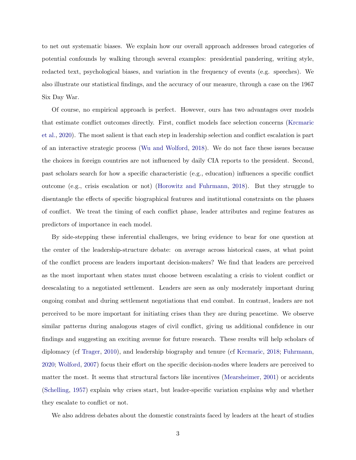to net out systematic biases. We explain how our overall approach addresses broad categories of potential confounds by walking through several examples: presidential pandering, writing style, redacted text, psychological biases, and variation in the frequency of events (e.g. speeches). We also illustrate our statistical findings, and the accuracy of our measure, through a case on the 1967 Six Day War.

Of course, no empirical approach is perfect. However, ours has two advantages over models that estimate conflict outcomes directly. First, conflict models face selection concerns [\(Krcmaric](#page-40-4) [et al.,](#page-40-4) [2020\)](#page-40-4). The most salient is that each step in leadership selection and conflict escalation is part of an interactive strategic process [\(Wu and Wolford,](#page-41-8) [2018\)](#page-41-8). We do not face these issues because the choices in foreign countries are not influenced by daily CIA reports to the president. Second, past scholars search for how a specific characteristic (e.g., education) influences a specific conflict outcome (e.g., crisis escalation or not) [\(Horowitz and Fuhrmann,](#page-39-3) [2018\)](#page-39-3). But they struggle to disentangle the effects of specific biographical features and institutional constraints on the phases of conflict. We treat the timing of each conflict phase, leader attributes and regime features as predictors of importance in each model.

By side-stepping these inferential challenges, we bring evidence to bear for one question at the center of the leadership-structure debate: on average across historical cases, at what point of the conflict process are leaders important decision-makers? We find that leaders are perceived as the most important when states must choose between escalating a crisis to violent conflict or deescalating to a negotiated settlement. Leaders are seen as only moderately important during ongoing combat and during settlement negotiations that end combat. In contrast, leaders are not perceived to be more important for initiating crises than they are during peacetime. We observe similar patterns during analogous stages of civil conflict, giving us additional confidence in our findings and suggesting an exciting avenue for future research. These results will help scholars of diplomacy (cf [Trager,](#page-41-9) [2010\)](#page-41-9), and leadership biography and tenure (cf [Krcmaric,](#page-40-3) [2018;](#page-40-3) [Fuhrmann,](#page-39-1) [2020;](#page-39-1) [Wolford,](#page-41-10) [2007\)](#page-41-10) focus their effort on the specific decision-nodes where leaders are perceived to matter the most. It seems that structural factors like incentives [\(Mearsheimer,](#page-40-2) [2001\)](#page-40-2) or accidents [\(Schelling,](#page-41-11) [1957\)](#page-41-11) explain why crises start, but leader-specific variation explains why and whether they escalate to conflict or not.

We also address debates about the domestic constraints faced by leaders at the heart of studies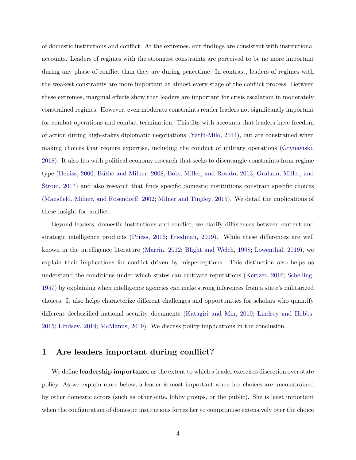of domestic institutions and conflict. At the extremes, our findings are consistent with institutional accounts. Leaders of regimes with the strongest constraints are perceived to be no more important during any phase of conflict than they are during peacetime. In contrast, leaders of regimes with the weakest constraints are more important at almost every stage of the conflict process. Between these extremes, marginal effects show that leaders are important for crisis escalation in moderately constrained regimes. However, even moderate constraints render leaders not significantly important for combat operations and combat termination. This fits with accounts that leaders have freedom of action during high-stakes diplomatic negotiations [\(Yarhi-Milo,](#page-41-1) [2014\)](#page-41-1), but are constrained when making choices that require expertise, including the conduct of military operations [\(Grynaviski,](#page-39-9) [2018\)](#page-39-9). It also fits with political economy research that seeks to disentangle constraints from regime type [\(Henisz,](#page-39-10) [2000;](#page-39-10) Büthe and Milner, [2008;](#page-38-7) [Boix, Miller, and Rosato,](#page-38-8) [2013;](#page-38-8) [Graham, Miller, and](#page-39-11) [Strom,](#page-39-11) [2017\)](#page-39-11) and also research that finds specific domestic institutions constrain specific choices [\(Mansfield, Milner, and Rosendorff,](#page-40-9) [2002;](#page-40-9) [Milner and Tingley,](#page-41-2) [2015\)](#page-41-2). We detail the implications of these insight for conflict.

Beyond leaders, domestic institutions and conflict, we clarify differences between current and strategic intelligence products [\(Priess,](#page-41-6) [2016;](#page-41-6) [Friedman,](#page-38-9) [2019\)](#page-38-9). While these differences are well known in the intelligence literature [\(Marrin,](#page-40-6) [2012;](#page-40-6) [Blight and Welch,](#page-38-6) [1998;](#page-38-6) [Lowenthal,](#page-40-10) [2019\)](#page-40-10), we explain their implications for conflict driven by misperceptions. This distinction also helps us understand the conditions under which states can cultivate reputations [\(Kertzer,](#page-39-12) [2016;](#page-39-12) [Schelling,](#page-41-11) [1957\)](#page-41-11) by explaining when intelligence agencies can make strong inferences from a state's militarized choices. It also helps characterize different challenges and opportunities for scholars who quantify different declassified national security documents [\(Katagiri and Min,](#page-39-13) [2019;](#page-39-13) [Lindsey and Hobbs,](#page-40-0) [2015;](#page-40-0) [Lindsey,](#page-40-11) [2019;](#page-40-11) [McManus,](#page-40-1) [2019\)](#page-40-1). We discuss policy implications in the conclusion.

### 1 Are leaders important during conflict?

We define **leadership importance** as the extent to which a leader exercises discretion over state policy. As we explain more below, a leader is most important when her choices are unconstrained by other domestic actors (such as other elite, lobby groups, or the public). She is least important when the configuration of domestic institutions forces her to compromise extensively over the choice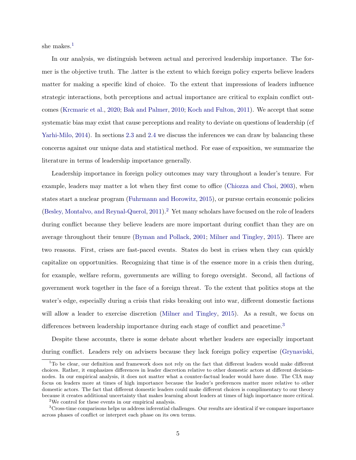she makes.<sup>[1](#page-6-0)</sup>

In our analysis, we distinguish between actual and perceived leadership importance. The former is the objective truth. The .latter is the extent to which foreign policy experts believe leaders matter for making a specific kind of choice. To the extent that impressions of leaders influence strategic interactions, both perceptions and actual importance are critical to explain conflict outcomes [\(Krcmaric et al.,](#page-40-4) [2020;](#page-40-4) [Bak and Palmer,](#page-38-3) [2010;](#page-38-3) [Koch and Fulton,](#page-39-14) [2011\)](#page-39-14). We accept that some systematic bias may exist that cause perceptions and reality to deviate on questions of leadership (cf [Yarhi-Milo,](#page-41-1) [2014\)](#page-41-1). In sections [2.3](#page-17-0) and [2.4](#page-19-0) we discuss the inferences we can draw by balancing these concerns against our unique data and statistical method. For ease of exposition, we summarize the literature in terms of leadership importance generally.

Leadership importance in foreign policy outcomes may vary throughout a leader's tenure. For example, leaders may matter a lot when they first come to office [\(Chiozza and Choi,](#page-38-10) [2003\)](#page-38-10), when states start a nuclear program [\(Fuhrmann and Horowitz,](#page-39-15) [2015\)](#page-39-15), or pursue certain economic policies [\(Besley, Montalvo, and Reynal-Querol,](#page-38-11) [2011\)](#page-38-11).<sup>[2](#page-6-1)</sup> Yet many scholars have focused on the role of leaders during conflict because they believe leaders are more important during conflict than they are on average throughout their tenure [\(Byman and Pollack,](#page-38-12) [2001;](#page-38-12) [Milner and Tingley,](#page-41-2) [2015\)](#page-41-2). There are two reasons. First, crises are fast-paced events. States do best in crises when they can quickly capitalize on opportunities. Recognizing that time is of the essence more in a crisis then during, for example, welfare reform, governments are willing to forego oversight. Second, all factions of government work together in the face of a foreign threat. To the extent that politics stops at the water's edge, especially during a crisis that risks breaking out into war, different domestic factions will allow a leader to exercise discretion [\(Milner and Tingley,](#page-41-2) [2015\)](#page-41-2). As a result, we focus on differences between leadership importance during each stage of conflict and peacetime.<sup>[3](#page-6-2)</sup>

Despite these accounts, there is some debate about whether leaders are especially important during conflict. Leaders rely on advisers because they lack foreign policy expertise [\(Grynaviski,](#page-39-9)

<span id="page-6-0"></span><sup>&</sup>lt;sup>1</sup>To be clear, our definition and framework does not rely on the fact that different leaders would make different choices. Rather, it emphasizes differences in leader discretion relative to other domestic actors at different decisionnodes. In our empirical analysis, it does not matter what a counter-factual leader would have done. The CIA may focus on leaders more at times of high importance because the leader's preferences matter more relative to other domestic actors. The fact that different domestic leaders could make different choices is complimentary to our theory because it creates additional uncertainty that makes learning about leaders at times of high importance more critical.

<span id="page-6-2"></span><span id="page-6-1"></span><sup>&</sup>lt;sup>2</sup>We control for these events in our empirical analysis.

<sup>3</sup>Cross-time comparisons helps us address inferential challenges. Our results are identical if we compare importance across phases of conflict or interpret each phase on its own terms.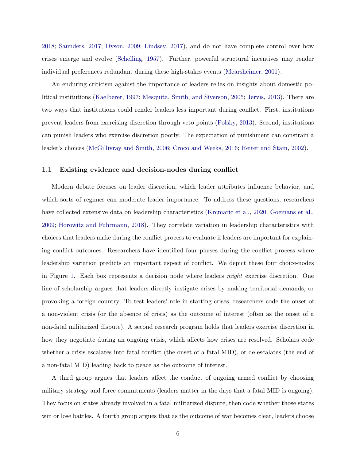[2018;](#page-39-9) [Saunders,](#page-41-12) [2017;](#page-41-12) [Dyson,](#page-38-13) [2009;](#page-38-13) [Lindsey,](#page-40-12) [2017\)](#page-40-12), and do not have complete control over how crises emerge and evolve [\(Schelling,](#page-41-11) [1957\)](#page-41-11). Further, powerful structural incentives may render individual preferences redundant during these high-stakes events [\(Mearsheimer,](#page-40-2) [2001\)](#page-40-2).

An enduring criticism against the importance of leaders relies on insights about domestic political institutions [\(Kaelberer,](#page-39-16) [1997;](#page-39-16) [Mesquita, Smith, and Siverson,](#page-40-13) [2005;](#page-40-13) [Jervis,](#page-39-6) [2013\)](#page-39-6). There are two ways that institutions could render leaders less important during conflict. First, institutions prevent leaders from exercising discretion through veto points [\(Polsky,](#page-41-3) [2013\)](#page-41-3). Second, institutions can punish leaders who exercise discretion poorly. The expectation of punishment can constrain a leader's choices [\(McGillivray and Smith,](#page-40-14) [2006;](#page-40-14) [Croco and Weeks,](#page-38-14) [2016;](#page-38-14) [Reiter and Stam,](#page-41-13) [2002\)](#page-41-13).

### 1.1 Existing evidence and decision-nodes during conflict

Modern debate focuses on leader discretion, which leader attributes influence behavior, and which sorts of regimes can moderate leader importance. To address these questions, researchers have collected extensive data on leadership characteristics [\(Krcmaric et al.,](#page-40-4) [2020;](#page-40-4) [Goemans et al.,](#page-39-0) [2009;](#page-39-0) [Horowitz and Fuhrmann,](#page-39-3) [2018\)](#page-39-3). They correlate variation in leadership characteristics with choices that leaders make during the conflict process to evaluate if leaders are important for explaining conflict outcomes. Researchers have identified four phases during the conflict process where leadership variation predicts an important aspect of conflict. We depict these four choice-nodes in Figure [1.](#page-8-0) Each box represents a decision node where leaders *might* exercise discretion. One line of scholarship argues that leaders directly instigate crises by making territorial demands, or provoking a foreign country. To test leaders' role in starting crises, researchers code the onset of a non-violent crisis (or the absence of crisis) as the outcome of interest (often as the onset of a non-fatal militarized dispute). A second research program holds that leaders exercise discretion in how they negotiate during an ongoing crisis, which affects how crises are resolved. Scholars code whether a crisis escalates into fatal conflict (the onset of a fatal MID), or de-escalates (the end of a non-fatal MID) leading back to peace as the outcome of interest.

A third group argues that leaders affect the conduct of ongoing armed conflict by choosing military strategy and force commitments (leaders matter in the days that a fatal MID is ongoing). They focus on states already involved in a fatal militarized dispute, then code whether those states win or lose battles. A fourth group argues that as the outcome of war becomes clear, leaders choose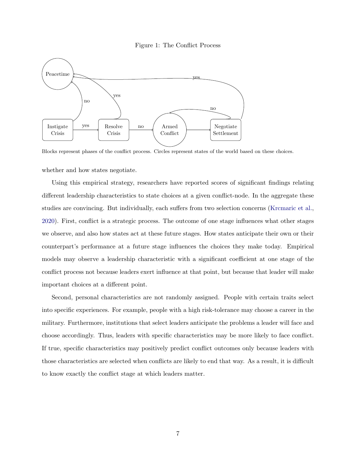

<span id="page-8-0"></span>

Blocks represent phases of the conflict process. Circles represent states of the world based on these choices.

whether and how states negotiate.

Using this empirical strategy, researchers have reported scores of significant findings relating different leadership characteristics to state choices at a given conflict-node. In the aggregate these studies are convincing. But individually, each suffers from two selection concerns [\(Krcmaric et al.,](#page-40-4) [2020\)](#page-40-4). First, conflict is a strategic process. The outcome of one stage influences what other stages we observe, and also how states act at these future stages. How states anticipate their own or their counterpart's performance at a future stage influences the choices they make today. Empirical models may observe a leadership characteristic with a significant coefficient at one stage of the conflict process not because leaders exert influence at that point, but because that leader will make important choices at a different point.

Second, personal characteristics are not randomly assigned. People with certain traits select into specific experiences. For example, people with a high risk-tolerance may choose a career in the military. Furthermore, institutions that select leaders anticipate the problems a leader will face and choose accordingly. Thus, leaders with specific characteristics may be more likely to face conflict. If true, specific characteristics may positively predict conflict outcomes only because leaders with those characteristics are selected when conflicts are likely to end that way. As a result, it is difficult to know exactly the conflict stage at which leaders matter.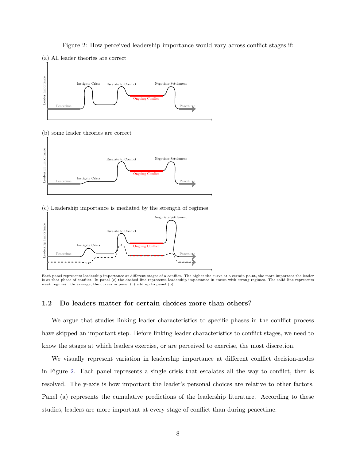### Figure 2: How perceived leadership importance would vary across conflict stages if:

<span id="page-9-0"></span>

#### (c) Leadership importance is mediated by the strength of regimes



Each panel represents leadership importance at different stages of a conflict. The higher the curve at a certain point, the more important the leader is at that phase of conflict. In panel (c) the dashed line represents leadership importance in states with strong regimes. The solid line represents weak regimes. On average, the curves in panel (c) add up to panel (b).

### 1.2 Do leaders matter for certain choices more than others?

We argue that studies linking leader characteristics to specific phases in the conflict process have skipped an important step. Before linking leader characteristics to conflict stages, we need to know the stages at which leaders exercise, or are perceived to exercise, the most discretion.

We visually represent variation in leadership importance at different conflict decision-nodes in Figure [2.](#page-9-0) Each panel represents a single crisis that escalates all the way to conflict, then is resolved. The y-axis is how important the leader's personal choices are relative to other factors. Panel (a) represents the cumulative predictions of the leadership literature. According to these studies, leaders are more important at every stage of conflict than during peacetime.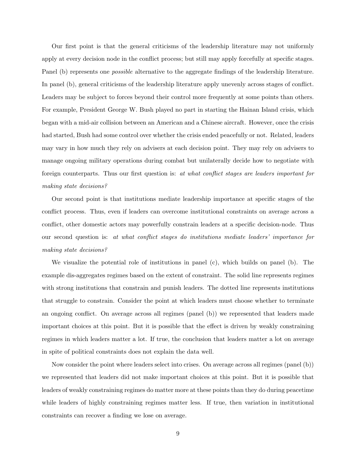Our first point is that the general criticisms of the leadership literature may not uniformly apply at every decision node in the conflict process; but still may apply forcefully at specific stages. Panel (b) represents one *possible* alternative to the aggregate findings of the leadership literature. In panel (b), general criticisms of the leadership literature apply unevenly across stages of conflict. Leaders may be subject to forces beyond their control more frequently at some points than others. For example, President George W. Bush played no part in starting the Hainan Island crisis, which began with a mid-air collision between an American and a Chinese aircraft. However, once the crisis had started, Bush had some control over whether the crisis ended peacefully or not. Related, leaders may vary in how much they rely on advisers at each decision point. They may rely on advisers to manage ongoing military operations during combat but unilaterally decide how to negotiate with foreign counterparts. Thus our first question is: at what conflict stages are leaders important for making state decisions?

Our second point is that institutions mediate leadership importance at specific stages of the conflict process. Thus, even if leaders can overcome institutional constraints on average across a conflict, other domestic actors may powerfully constrain leaders at a specific decision-node. Thus our second question is: at what conflict stages do institutions mediate leaders' importance for making state decisions?

We visualize the potential role of institutions in panel (c), which builds on panel (b). The example dis-aggregates regimes based on the extent of constraint. The solid line represents regimes with strong institutions that constrain and punish leaders. The dotted line represents institutions that struggle to constrain. Consider the point at which leaders must choose whether to terminate an ongoing conflict. On average across all regimes (panel (b)) we represented that leaders made important choices at this point. But it is possible that the effect is driven by weakly constraining regimes in which leaders matter a lot. If true, the conclusion that leaders matter a lot on average in spite of political constraints does not explain the data well.

Now consider the point where leaders select into crises. On average across all regimes (panel (b)) we represented that leaders did not make important choices at this point. But it is possible that leaders of weakly constraining regimes do matter more at these points than they do during peacetime while leaders of highly constraining regimes matter less. If true, then variation in institutional constraints can recover a finding we lose on average.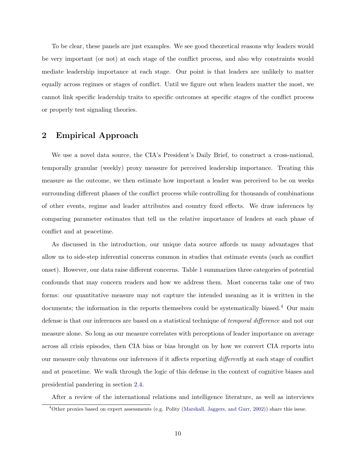To be clear, these panels are just examples. We see good theoretical reasons why leaders would be very important (or not) at each stage of the conflict process, and also why constraints would mediate leadership importance at each stage. Our point is that leaders are unlikely to matter equally across regimes or stages of conflict. Until we figure out when leaders matter the most, we cannot link specific leadership traits to specific outcomes at specific stages of the conflict process or properly test signaling theories.

### 2 Empirical Approach

We use a novel data source, the CIA's President's Daily Brief, to construct a cross-national, temporally granular (weekly) proxy measure for perceived leadership importance. Treating this measure as the outcome, we then estimate how important a leader was perceived to be on weeks surrounding different phases of the conflict process while controlling for thousands of combinations of other events, regime and leader attributes and country fixed effects. We draw inferences by comparing parameter estimates that tell us the relative importance of leaders at each phase of conflict and at peacetime.

As discussed in the introduction, our unique data source affords us many advantages that allow us to side-step inferential concerns common in studies that estimate events (such as conflict onset). However, our data raise different concerns. Table [1](#page-12-0) summarizes three categories of potential confounds that may concern readers and how we address them. Most concerns take one of two forms: our quantitative measure may not capture the intended meaning as it is written in the documents; the information in the reports themselves could be systematically biased.<sup>[4](#page-11-0)</sup> Our main defense is that our inferences are based on a statistical technique of temporal difference and not our measure alone. So long as our measure correlates with perceptions of leader importance on average across all crisis episodes, then CIA bias or bias brought on by how we convert CIA reports into our measure only threatens our inferences if it affects reporting differently at each stage of conflict and at peacetime. We walk through the logic of this defense in the context of cognitive biases and presidential pandering in section [2.4.](#page-19-0)

After a review of the international relations and intelligence literature, as well as interviews

<span id="page-11-0"></span><sup>4</sup>Other proxies based on expert assessments (e.g. Polity [\(Marshall, Jaggers, and Gurr,](#page-40-15) [2002\)](#page-40-15)) share this issue.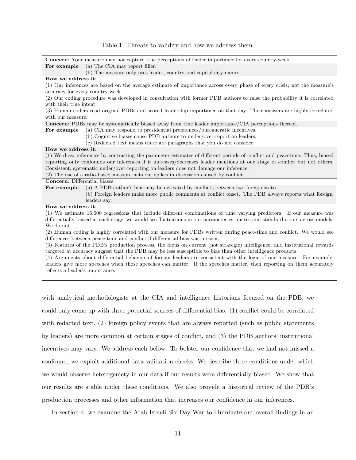<span id="page-12-0"></span>Concern: Your measure may not capture true perceptions of leader importance for every country-week. For example (a) The CIA may report filler.

(b) The measure only uses leader, country and capital city names.

### How we address it:

(1) Our inferences are based on the average estimate of importance across every phase of every crisis; not the measure's accuracy for every country week.

(2) Our coding procedure was developed in consultation with former PDB authors to raise the probability it is correlated with their true intent.

(3) Human coders read original PDBs and scored leadership importance on that day. Their answers are highly correlated with our measure.

Concern: PDBs may be systematically biased away from true leader importance/CIA perceptions thereof.

For example (a) CIA may respond to presidential preferences/bureaucratic incentives.

(b) Cognitive biases cause PDB authors to under/over-report on leaders.

(c) Redacted text means there are paragraphs that you do not consider

#### How we address it:

(1) We draw inferences by contrasting the parameter estimates of different periods of conflict and peacetime. Thus, biased reporting only confounds our inferences if it increases/decreases leader mentions at one stage of conflict but not others. Consistent, systematic under/over-reporting on leaders does not damage our inference.

(2) The use of a ratio-based measure nets out spikes in discussion caused by conflict.

### Concern: Differential biases.

For example (a) A PDB author's bias may be activated by conflicts between two foreign states.

(b) Foreign leaders make more public comments at conflict onset. The PDB always reports what foreign leaders say.

#### How we address it:

(1) We estimate 16,000 regressions that include different combinations of time varying predictors. If our measure was differentially biased at each stage, we would see fluctuations in our parameter estimates and standard errors across models. We do not.

(2) Human coding is highly correlated with our measure for PDBs written during peace-time and conflict. We would see differences between peace-time and conflict if differential bias was present.

(3) Features of the PDB's production process, the focus on current (not strategic) intelligence, and institutional rewards targeted at accuracy suggest that the PDB may be less susceptible to bias than other intelligence products.

(4) Arguments about differential behavior of foreign leaders are consistent with the logic of our measure. For example, leaders give more speeches when those speeches can matter. If the speeches matter, then reporting on them accurately reflects a leader's importance.

with analytical methodologists at the CIA and intelligence historians focused on the PDB, we could only come up with three potential sources of differential bias: (1) conflict could be correlated with redacted text, (2) foreign policy events that are always reported (such as public statements by leaders) are more common at certain stages of conflict, and (3) the PDB authors' institutional incentives may vary. We address each below. To bolster our confidence that we had not missed a confound, we exploit additional data validation checks. We describe three conditions under which we would observe heterogeniety in our data if our results were differentially biased. We show that our results are stable under these conditions. We also provide a historical review of the PDB's production processes and other information that increases our confidence in our inferences.

In section [4,](#page-33-0) we examine the Arab-Israeli Six Day War to illuminate our overall findings in an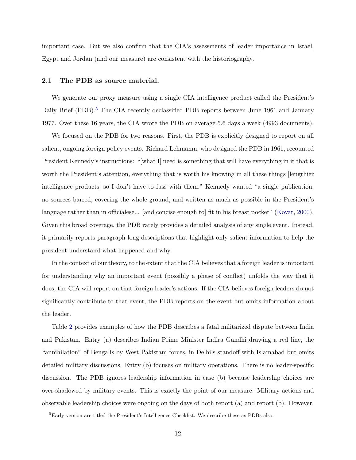important case. But we also confirm that the CIA's assessments of leader importance in Israel, Egypt and Jordan (and our measure) are consistent with the historiography.

### 2.1 The PDB as source material.

We generate our proxy measure using a single CIA intelligence product called the President's Daily Brief (PDB).<sup>[5](#page-13-0)</sup> The CIA recently declassified PDB reports between June 1961 and January 1977. Over these 16 years, the CIA wrote the PDB on average 5.6 days a week (4993 documents).

We focused on the PDB for two reasons. First, the PDB is explicitly designed to report on all salient, ongoing foreign policy events. Richard Lehmanm, who designed the PDB in 1961, recounted President Kennedy's instructions: "[what I] need is something that will have everything in it that is worth the President's attention, everything that is worth his knowing in all these things [lengthier intelligence products] so I don't have to fuss with them." Kennedy wanted "a single publication, no sources barred, covering the whole ground, and written as much as possible in the President's language rather than in officialese... [and concise enough to] fit in his breast pocket" [\(Kovar,](#page-40-5) [2000\)](#page-40-5). Given this broad coverage, the PDB rarely provides a detailed analysis of any single event. Instead, it primarily reports paragraph-long descriptions that highlight only salient information to help the president understand what happened and why.

In the context of our theory, to the extent that the CIA believes that a foreign leader is important for understanding why an important event (possibly a phase of conflict) unfolds the way that it does, the CIA will report on that foreign leader's actions. If the CIA believes foreign leaders do not significantly contribute to that event, the PDB reports on the event but omits information about the leader.

Table [2](#page-14-0) provides examples of how the PDB describes a fatal militarized dispute between India and Pakistan. Entry (a) describes Indian Prime Minister Indira Gandhi drawing a red line, the "annihilation" of Bengalis by West Pakistani forces, in Delhi's standoff with Islamabad but omits detailed military discussions. Entry (b) focuses on military operations. There is no leader-specific discussion. The PDB ignores leadership information in case (b) because leadership choices are over-shadowed by military events. This is exactly the point of our measure. Military actions and observable leadership choices were ongoing on the days of both report (a) and report (b). However,

<span id="page-13-0"></span> ${}^{5}$ Early version are titled the President's Intelligence Checklist. We describe these as PDBs also.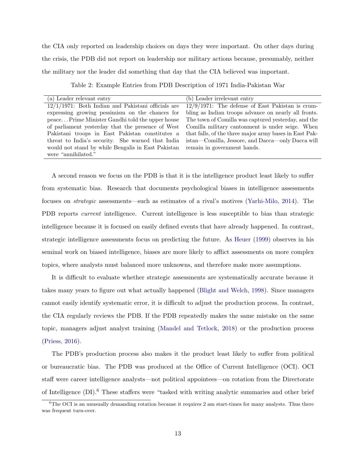the CIA only reported on leadership choices on days they were important. On other days during the crisis, the PDB did not report on leadership nor military actions because, presumably, neither the military nor the leader did something that day that the CIA believed was important.

<span id="page-14-0"></span>

| (a) Leader relevant entry                             | (b) Leader irrelevant entry                            |
|-------------------------------------------------------|--------------------------------------------------------|
| $12/1/1971$ : Both Indian and Pakistani officials are | $12/9/1971$ : The defense of East Pakistan is crum-    |
| expressing growing pessimism on the chances for       | bling as Indian troops advance on nearly all fronts.   |
| peace Prime Minister Gandhi told the upper house      | The town of Comilla was captured yesterday, and the    |
| of parliament yesterday that the presence of West     | Comilla military cantonment is under seige. When       |
| Pakistani troops in East Pakistan constitutes a       | that falls, of the three major army bases in East Pak- |
| threat to India's security. She warned that India     | istan—Comilla, Jessore, and Dacca—only Dacca will      |
| would not stand by while Bengalis in East Pakistan    | remain in government hands.                            |
| were "annihilated."                                   |                                                        |

Table 2: Example Entries from PDB Description of 1971 India-Pakistan War

A second reason we focus on the PDB is that it is the intelligence product least likely to suffer from systematic bias. Research that documents psychological biases in intelligence assessments focuses on strategic assessments—such as estimates of a rival's motives [\(Yarhi-Milo,](#page-41-1) [2014\)](#page-41-1). The PDB reports current intelligence. Current intelligence is less susceptible to bias than strategic intelligence because it is focused on easily defined events that have already happened. In contrast, strategic intelligence assessments focus on predicting the future. As [Heuer](#page-39-17) [\(1999\)](#page-39-17) observes in his seminal work on biased intelligence, biases are more likely to afflict assessments on more complex topics, where analysts must balanced more unknowns, and therefore make more assumptions.

It is difficult to evaluate whether strategic assessments are systematically accurate because it takes many years to figure out what actually happened [\(Blight and Welch,](#page-38-6) [1998\)](#page-38-6). Since managers cannot easily identify systematic error, it is difficult to adjust the production process. In contrast, the CIA regularly reviews the PDB. If the PDB repeatedly makes the same mistake on the same topic, managers adjust analyst training [\(Mandel and Tetlock,](#page-40-16) [2018\)](#page-40-16) or the production process [\(Priess,](#page-41-6) [2016\)](#page-41-6).

The PDB's production process also makes it the product least likely to suffer from political or bureaucratic bias. The PDB was produced at the Office of Current Intelligence (OCI). OCI staff were career intelligence analysts—not political appointees—on rotation from the Directorate of Intelligence (DI).<sup>[6](#page-14-1)</sup> These staffers were "tasked with writing analytic summaries and other brief

<span id="page-14-1"></span> $6$ The OCI is an unusually demanding rotation because it requires 2 am start-times for many analysts. Thus there was frequent turn-over.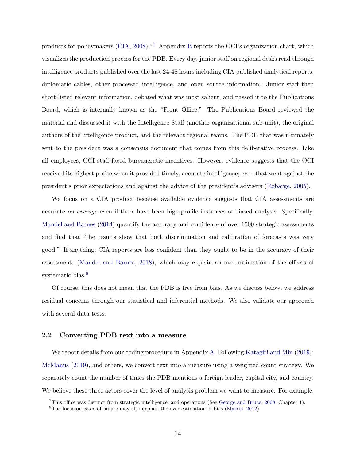products for policymakers [\(CIA,](#page-38-15) [2008\)](#page-38-15)."[7](#page-15-0) Appendix [B](#page-46-0) reports the OCI's organization chart, which visualizes the production process for the PDB. Every day, junior staff on regional desks read through intelligence products published over the last 24-48 hours including CIA published analytical reports, diplomatic cables, other processed intelligence, and open source information. Junior staff then short-listed relevant information, debated what was most salient, and passed it to the Publications Board, which is internally known as the "Front Office." The Publications Board reviewed the material and discussed it with the Intelligence Staff (another organizational sub-unit), the original authors of the intelligence product, and the relevant regional teams. The PDB that was ultimately sent to the president was a consensus document that comes from this deliberative process. Like all employees, OCI staff faced bureaucratic incentives. However, evidence suggests that the OCI received its highest praise when it provided timely, accurate intelligence; even that went against the president's prior expectations and against the advice of the president's advisers [\(Robarge,](#page-41-7) [2005\)](#page-41-7).

We focus on a CIA product because available evidence suggests that CIA assessments are accurate on average even if there have been high-profile instances of biased analysis. Specifically, [Mandel and Barnes](#page-40-7) [\(2014\)](#page-40-7) quantify the accuracy and confidence of over 1500 strategic assessments and find that "the results show that both discrimination and calibration of forecasts was very good." If anything, CIA reports are less confident than they ought to be in the accuracy of their assessments [\(Mandel and Barnes,](#page-40-8) [2018\)](#page-40-8), which may explain an over-estimation of the effects of systematic bias.<sup>[8](#page-15-1)</sup>

Of course, this does not mean that the PDB is free from bias. As we discuss below, we address residual concerns through our statistical and inferential methods. We also validate our approach with several data tests.

### 2.2 Converting PDB text into a measure

We report details from our coding procedure in Appendix [A.](#page-43-0) Following [Katagiri and Min](#page-39-13) [\(2019\)](#page-39-13); [McManus](#page-40-1) [\(2019\)](#page-40-1), and others, we convert text into a measure using a weighted count strategy. We separately count the number of times the PDB mentions a foreign leader, capital city, and country. We believe these three actors cover the level of analysis problem we want to measure. For example,

<span id="page-15-0"></span><sup>&</sup>lt;sup>7</sup>This office was distinct from strategic intelligence, and operations (See [George and Bruce,](#page-39-7) [2008,](#page-39-7) Chapter 1).

<span id="page-15-1"></span><sup>8</sup>The focus on cases of failure may also explain the over-estimation of bias [\(Marrin,](#page-40-6) [2012\)](#page-40-6).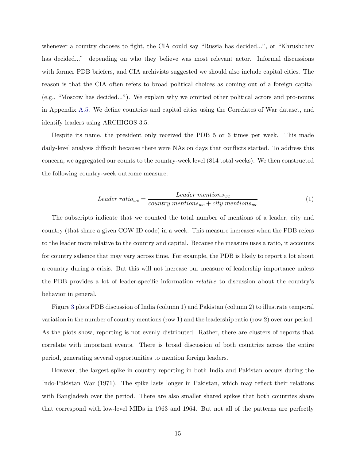whenever a country chooses to fight, the CIA could say "Russia has decided...", or "Khrushchev" has decided..." depending on who they believe was most relevant actor. Informal discussions with former PDB briefers, and CIA archivists suggested we should also include capital cities. The reason is that the CIA often refers to broad political choices as coming out of a foreign capital (e.g., "Moscow has decided..."). We explain why we omitted other political actors and pro-nouns in Appendix [A.5.](#page-46-1) We define countries and capital cities using the Correlates of War dataset, and identify leaders using ARCHIGOS 3.5.

Despite its name, the president only received the PDB 5 or 6 times per week. This made daily-level analysis difficult because there were NAs on days that conflicts started. To address this concern, we aggregated our counts to the country-week level (814 total weeks). We then constructed the following country-week outcome measure:

$$
Leader\ ratio_{wc} = \frac{Leader\ mention_{wc}}{country\ mention_{wc} + city\ mention_{wc}} \tag{1}
$$

The subscripts indicate that we counted the total number of mentions of a leader, city and country (that share a given COW ID code) in a week. This measure increases when the PDB refers to the leader more relative to the country and capital. Because the measure uses a ratio, it accounts for country salience that may vary across time. For example, the PDB is likely to report a lot about a country during a crisis. But this will not increase our measure of leadership importance unless the PDB provides a lot of leader-specific information relative to discussion about the country's behavior in general.

Figure [3](#page-17-1) plots PDB discussion of India (column 1) and Pakistan (column 2) to illustrate temporal variation in the number of country mentions (row 1) and the leadership ratio (row 2) over our period. As the plots show, reporting is not evenly distributed. Rather, there are clusters of reports that correlate with important events. There is broad discussion of both countries across the entire period, generating several opportunities to mention foreign leaders.

However, the largest spike in country reporting in both India and Pakistan occurs during the Indo-Pakistan War (1971). The spike lasts longer in Pakistan, which may reflect their relations with Bangladesh over the period. There are also smaller shared spikes that both countries share that correspond with low-level MIDs in 1963 and 1964. But not all of the patterns are perfectly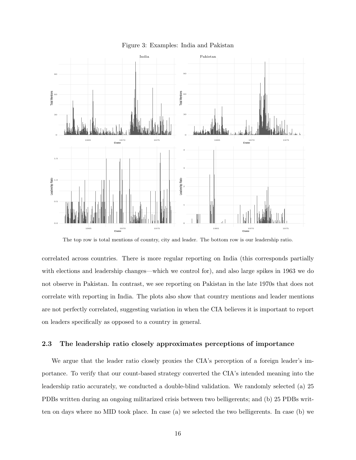<span id="page-17-1"></span>

Figure 3: Examples: India and Pakistan

The top row is total mentions of country, city and leader. The bottom row is our leadership ratio.

correlated across countries. There is more regular reporting on India (this corresponds partially with elections and leadership changes—which we control for), and also large spikes in 1963 we do not observe in Pakistan. In contrast, we see reporting on Pakistan in the late 1970s that does not correlate with reporting in India. The plots also show that country mentions and leader mentions are not perfectly correlated, suggesting variation in when the CIA believes it is important to report on leaders specifically as opposed to a country in general.

### <span id="page-17-0"></span>2.3 The leadership ratio closely approximates perceptions of importance

We argue that the leader ratio closely proxies the CIA's perception of a foreign leader's importance. To verify that our count-based strategy converted the CIA's intended meaning into the leadership ratio accurately, we conducted a double-blind validation. We randomly selected (a) 25 PDBs written during an ongoing militarized crisis between two belligerents; and (b) 25 PDBs written on days where no MID took place. In case (a) we selected the two belligerents. In case (b) we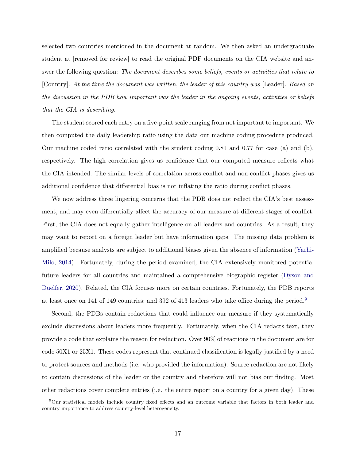selected two countries mentioned in the document at random. We then asked an undergraduate student at [removed for review] to read the original PDF documents on the CIA website and answer the following question: The document describes some beliefs, events or activities that relate to [Country]. At the time the document was written, the leader of this country was [Leader]. Based on the discussion in the PDB how important was the leader in the ongoing events, activities or beliefs that the CIA is describing.

The student scored each entry on a five-point scale ranging from not important to important. We then computed the daily leadership ratio using the data our machine coding procedure produced. Our machine coded ratio correlated with the student coding 0.81 and 0.77 for case (a) and (b), respectively. The high correlation gives us confidence that our computed measure reflects what the CIA intended. The similar levels of correlation across conflict and non-conflict phases gives us additional confidence that differential bias is not inflating the ratio during conflict phases.

We now address three lingering concerns that the PDB does not reflect the CIA's best assessment, and may even diferentially affect the accuracy of our measure at different stages of conflict. First, the CIA does not equally gather intelligence on all leaders and countries. As a result, they may want to report on a foreign leader but have information gaps. The missing data problem is amplified because analysts are subject to additional biases given the absence of information [\(Yarhi-](#page-41-1)[Milo,](#page-41-1) [2014\)](#page-41-1). Fortunately, during the period examined, the CIA extensively monitored potential future leaders for all countries and maintained a comprehensive biographic register [\(Dyson and](#page-38-5) [Duelfer,](#page-38-5) [2020\)](#page-38-5). Related, the CIA focuses more on certain countries. Fortunately, the PDB reports at least once on 141 of 149 countries; and 392 of 413 leaders who take office during the period.[9](#page-18-0)

Second, the PDBs contain redactions that could influence our measure if they systematically exclude discussions about leaders more frequently. Fortunately, when the CIA redacts text, they provide a code that explains the reason for redaction. Over 90% of reactions in the document are for code 50X1 or 25X1. These codes represent that continued classification is legally justified by a need to protect sources and methods (i.e. who provided the information). Source redaction are not likely to contain discussions of the leader or the country and therefore will not bias our finding. Most other redactions cover complete entries (i.e. the entire report on a country for a given day). These

<span id="page-18-0"></span><sup>9</sup>Our statistical models include country fixed effects and an outcome variable that factors in both leader and country importance to address country-level heterogeneity.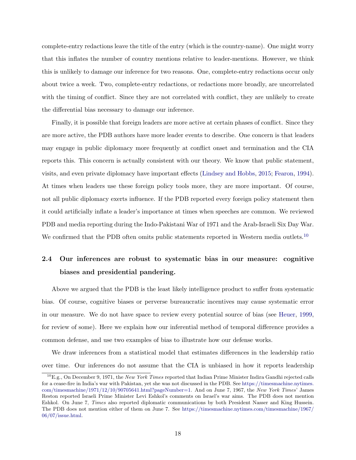complete-entry redactions leave the title of the entry (which is the country-name). One might worry that this inflates the number of country mentions relative to leader-mentions. However, we think this is unlikely to damage our inference for two reasons. One, complete-entry redactions occur only about twice a week. Two, complete-entry redactions, or redactions more broadly, are uncorrelated with the timing of conflict. Since they are not correlated with conflict, they are unlikely to create the differential bias necessary to damage our inference.

Finally, it is possible that foreign leaders are more active at certain phases of conflict. Since they are more active, the PDB authors have more leader events to describe. One concern is that leaders may engage in public diplomacy more frequently at conflict onset and termination and the CIA reports this. This concern is actually consistent with our theory. We know that public statement, visits, and even private diplomacy have important effects [\(Lindsey and Hobbs,](#page-40-0) [2015;](#page-40-0) [Fearon,](#page-38-16) [1994\)](#page-38-16). At times when leaders use these foreign policy tools more, they are more important. Of course, not all public diplomacy exerts influence. If the PDB reported every foreign policy statement then it could artificially inflate a leader's importance at times when speeches are common. We reviewed PDB and media reporting during the Indo-Pakistani War of 1971 and the Arab-Israeli Six Day War. We confirmed that the PDB often omits public statements reported in Western media outlets.<sup>[10](#page-19-1)</sup>

# <span id="page-19-0"></span>2.4 Our inferences are robust to systematic bias in our measure: cognitive biases and presidential pandering.

Above we argued that the PDB is the least likely intelligence product to suffer from systematic bias. Of course, cognitive biases or perverse bureaucratic incentives may cause systematic error in our measure. We do not have space to review every potential source of bias (see [Heuer,](#page-39-17) [1999,](#page-39-17) for review of some). Here we explain how our inferential method of temporal difference provides a common defense, and use two examples of bias to illustrate how our defense works.

We draw inferences from a statistical model that estimates differences in the leadership ratio over time. Our inferences do not assume that the CIA is unbiased in how it reports leadership

<span id="page-19-1"></span> ${}^{10}E.g.,$  On December 9, 1971, the New York Times reported that Indian Prime Minister Indira Gandhi rejected calls for a cease-fire in India's war with Pakistan, yet she was not discussed in the PDB. See [https://timesmachine.nytimes.](https://timesmachine.nytimes.com/timesmachine/1971/12/10/90705641.html?pageNumber=1) [com/timesmachine/1971/12/10/90705641.html?pageNumber=1.](https://timesmachine.nytimes.com/timesmachine/1971/12/10/90705641.html?pageNumber=1) And on June 7, 1967, the New York Times' James Reston reported Israeli Prime Minister Levi Eshkol's comments on Israel's war aims. The PDB does not mention Eshkol. On June 7, Times also reported diplomatic communications by both President Nasser and King Hussein. The PDB does not mention either of them on June 7. See [https://timesmachine.nytimes.com/timesmachine/1967/](https://timesmachine.nytimes.com/timesmachine/1967/06/07/issue.html) [06/07/issue.html.](https://timesmachine.nytimes.com/timesmachine/1967/06/07/issue.html)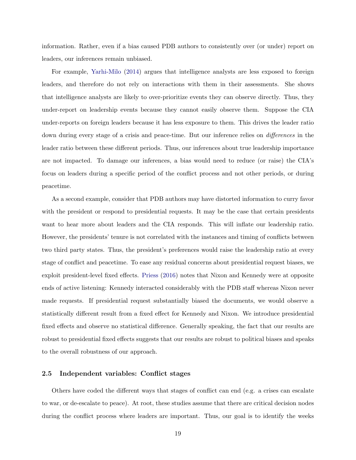information. Rather, even if a bias caused PDB authors to consistently over (or under) report on leaders, our inferences remain unbiased.

For example, [Yarhi-Milo](#page-41-1) [\(2014\)](#page-41-1) argues that intelligence analysts are less exposed to foreign leaders, and therefore do not rely on interactions with them in their assessments. She shows that intelligence analysts are likely to over-prioritize events they can observe directly. Thus, they under-report on leadership events because they cannot easily observe them. Suppose the CIA under-reports on foreign leaders because it has less exposure to them. This drives the leader ratio down during every stage of a crisis and peace-time. But our inference relies on *differences* in the leader ratio between these different periods. Thus, our inferences about true leadership importance are not impacted. To damage our inferences, a bias would need to reduce (or raise) the CIA's focus on leaders during a specific period of the conflict process and not other periods, or during peacetime.

As a second example, consider that PDB authors may have distorted information to curry favor with the president or respond to presidential requests. It may be the case that certain presidents want to hear more about leaders and the CIA responds. This will inflate our leadership ratio. However, the presidents' tenure is not correlated with the instances and timing of conflicts between two third party states. Thus, the president's preferences would raise the leadership ratio at every stage of conflict and peacetime. To ease any residual concerns about presidential request biases, we exploit president-level fixed effects. [Priess](#page-41-6) [\(2016\)](#page-41-6) notes that Nixon and Kennedy were at opposite ends of active listening: Kennedy interacted considerably with the PDB staff whereas Nixon never made requests. If presidential request substantially biased the documents, we would observe a statistically different result from a fixed effect for Kennedy and Nixon. We introduce presidential fixed effects and observe no statistical difference. Generally speaking, the fact that our results are robust to presidential fixed effects suggests that our results are robust to political biases and speaks to the overall robustness of our approach.

### 2.5 Independent variables: Conflict stages

Others have coded the different ways that stages of conflict can end (e.g. a crises can escalate to war, or de-escalate to peace). At root, these studies assume that there are critical decision nodes during the conflict process where leaders are important. Thus, our goal is to identify the weeks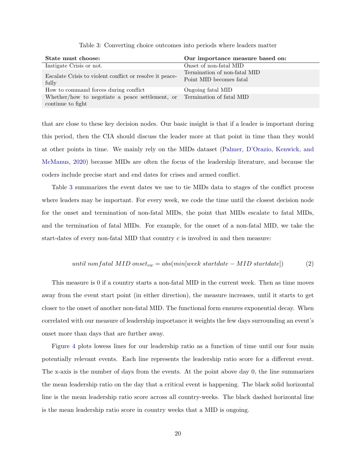<span id="page-21-0"></span>

| State must choose:                                                   | Our importance measure based on:                        |
|----------------------------------------------------------------------|---------------------------------------------------------|
| Instigate Crisis or not.                                             | Onset of non-fatal MID                                  |
| Escalate Crisis to violent conflict or resolve it peace-<br>fully    | Termination of non-fatal MID<br>Point MID becomes fatal |
| How to command forces during conflict                                | Ongoing fatal MID                                       |
| Whether/how to negotiate a peace settlement, or<br>continue to fight | Termination of fatal MID                                |

Table 3: Converting choice outcomes into periods where leaders matter

that are close to these key decision nodes. Our basic insight is that if a leader is important during this period, then the CIA should discuss the leader more at that point in time than they would at other points in time. We mainly rely on the MIDs dataset [\(Palmer, D'Orazio, Kenwick, and](#page-41-14) [McManus,](#page-41-14) [2020\)](#page-41-14) because MIDs are often the focus of the leadership literature, and because the coders include precise start and end dates for crises and armed conflict.

Table [3](#page-21-0) summarizes the event dates we use to tie MIDs data to stages of the conflict process where leaders may be important. For every week, we code the time until the closest decision node for the onset and termination of non-fatal MIDs, the point that MIDs escalate to fatal MIDs, and the termination of fatal MIDs. For example, for the onset of a non-fatal MID, we take the start-dates of every non-fatal MID that country  $c$  is involved in and then measure:

$$
until \; nonfatal \; MID \; onset_{cw} = abs(min[week \; startdate - MID \; startdate]) \tag{2}
$$

This measure is 0 if a country starts a non-fatal MID in the current week. Then as time moves away from the event start point (in either direction), the measure increases, until it starts to get closer to the onset of another non-fatal MID. The functional form ensures exponential decay. When correlated with our measure of leadership importance it weights the few days surrounding an event's onset more than days that are further away.

Figure [4](#page-22-0) plots lowess lines for our leadership ratio as a function of time until our four main potentially relevant events. Each line represents the leadership ratio score for a different event. The x-axis is the number of days from the events. At the point above day 0, the line summarizes the mean leadership ratio on the day that a critical event is happening. The black solid horizontal line is the mean leadership ratio score across all country-weeks. The black dashed horizontal line is the mean leadership ratio score in country weeks that a MID is ongoing.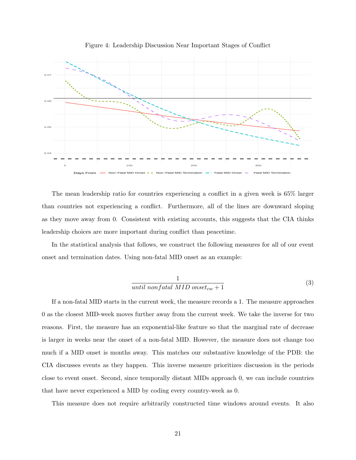<span id="page-22-0"></span>

Figure 4: Leadership Discussion Near Important Stages of Conflict

The mean leadership ratio for countries experiencing a conflict in a given week is 65% larger than countries not experiencing a conflict. Furthermore, all of the lines are downward sloping as they move away from 0. Consistent with existing accounts, this suggests that the CIA thinks leadership choices are more important during conflict than peacetime.

In the statistical analysis that follows, we construct the following measures for all of our event onset and termination dates. Using non-fatal MID onset as an example:

$$
\frac{1}{until\ nonfatal\ MID\ onset_{cw} + 1} \tag{3}
$$

If a non-fatal MID starts in the current week, the measure records a 1. The measure approaches 0 as the closest MID-week moves further away from the current week. We take the inverse for two reasons. First, the measure has an exponential-like feature so that the marginal rate of decrease is larger in weeks near the onset of a non-fatal MID. However, the measure does not change too much if a MID onset is months away. This matches our substantive knowledge of the PDB: the CIA discusses events as they happen. This inverse measure prioritizes discussion in the periods close to event onset. Second, since temporally distant MIDs approach 0, we can include countries that have never experienced a MID by coding every country-week as 0.

This measure does not require arbitrarily constructed time windows around events. It also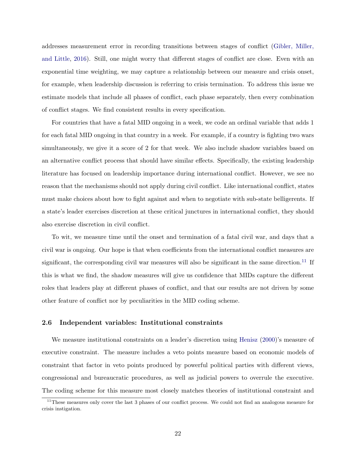addresses measurement error in recording transitions between stages of conflict [\(Gibler, Miller,](#page-39-18) [and Little,](#page-39-18) [2016\)](#page-39-18). Still, one might worry that different stages of conflict are close. Even with an exponential time weighting, we may capture a relationship between our measure and crisis onset, for example, when leadership discussion is referring to crisis termination. To address this issue we estimate models that include all phases of conflict, each phase separately, then every combination of conflict stages. We find consistent results in every specification.

For countries that have a fatal MID ongoing in a week, we code an ordinal variable that adds 1 for each fatal MID ongoing in that country in a week. For example, if a country is fighting two wars simultaneously, we give it a score of 2 for that week. We also include shadow variables based on an alternative conflict process that should have similar effects. Specifically, the existing leadership literature has focused on leadership importance during international conflict. However, we see no reason that the mechanisms should not apply during civil conflict. Like international conflict, states must make choices about how to fight against and when to negotiate with sub-state belligerents. If a state's leader exercises discretion at these critical junctures in international conflict, they should also exercise discretion in civil conflict.

To wit, we measure time until the onset and termination of a fatal civil war, and days that a civil war is ongoing. Our hope is that when coefficients from the international conflict measures are significant, the corresponding civil war measures will also be significant in the same direction.<sup>[11](#page-23-0)</sup> If this is what we find, the shadow measures will give us confidence that MIDs capture the different roles that leaders play at different phases of conflict, and that our results are not driven by some other feature of conflict nor by peculiarities in the MID coding scheme.

### 2.6 Independent variables: Institutional constraints

We measure institutional constraints on a leader's discretion using [Henisz](#page-39-10) [\(2000\)](#page-39-10)'s measure of executive constraint. The measure includes a veto points measure based on economic models of constraint that factor in veto points produced by powerful political parties with different views, congressional and bureaucratic procedures, as well as judicial powers to overrule the executive. The coding scheme for this measure most closely matches theories of institutional constraint and

<span id="page-23-0"></span><sup>&</sup>lt;sup>11</sup>These measures only cover the last 3 phases of our conflict process. We could not find an analogous measure for crisis instigation.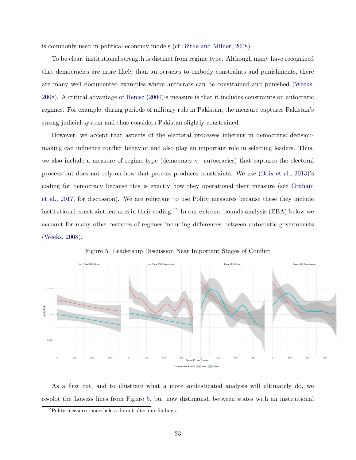is commonly used in political economy models (cf Büthe and Milner, [2008\)](#page-38-7).

To be clear, institutional strength is distinct from regime type. Although many have recognized that democracies are more likely than autocracies to embody constraints and punishments, there are many well documented examples where autocrats can be constrained and punished [\(Weeks,](#page-41-15) [2008\)](#page-41-15). A critical advantage of [Henisz](#page-39-10) [\(2000\)](#page-39-10)'s measure is that it includes constraints on autocratic regimes. For example, during periods of military rule in Pakistan, the measure captures Pakistan's strong judicial system and thus considers Pakistan slightly constrained.

However, we accept that aspects of the electoral processes inherent in democratic decisionmaking can influence conflict behavior and also play an important role in selecting leaders. Thus, we also include a measure of regime-type (democracy v. autocracies) that captures the electoral process but does not rely on how that process produces constraints. We use [\(Boix et al.,](#page-38-8) [2013\)](#page-38-8)'s coding for democracy because this is exactly how they operational their measure (see [Graham](#page-39-11) [et al.,](#page-39-11) [2017,](#page-39-11) for discussion). We are reluctant to use Polity measures because these they include institutional constraint features in their coding.[12](#page-24-0) In our extreme bounds analysis (EBA) below we account for many other features of regimes including differences between autocratic governments [\(Weeks,](#page-41-15) [2008\)](#page-41-15).

<span id="page-24-1"></span>

Figure 5: Leadership Discussion Near Important Stages of Conflict

As a first cut, and to illustrate what a more sophisticated analysis will ultimately do, we re-plot the Lowess lines from Figure [5,](#page-24-1) but now distinguish between states with an institutional

<span id="page-24-0"></span> $12P$ olity measures nonetheless do not alter our findings.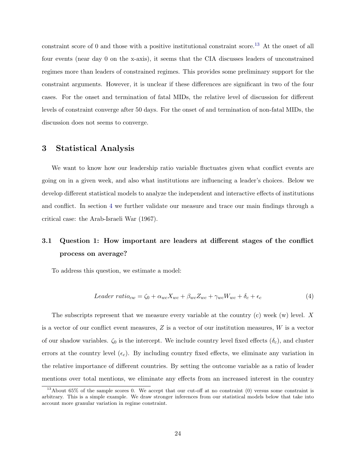constraint score of 0 and those with a positive institutional constraint score.<sup>[13](#page-25-0)</sup> At the onset of all four events (near day 0 on the x-axis), it seems that the CIA discusses leaders of unconstrained regimes more than leaders of constrained regimes. This provides some preliminary support for the constraint arguments. However, it is unclear if these differences are significant in two of the four cases. For the onset and termination of fatal MIDs, the relative level of discussion for different levels of constraint converge after 50 days. For the onset of and termination of non-fatal MIDs, the discussion does not seems to converge.

### 3 Statistical Analysis

We want to know how our leadership ratio variable fluctuates given what conflict events are going on in a given week, and also what institutions are influencing a leader's choices. Below we develop different statistical models to analyze the independent and interactive effects of institutions and conflict. In section [4](#page-33-0) we further validate our measure and trace our main findings through a critical case: the Arab-Israeli War (1967).

# 3.1 Question 1: How important are leaders at different stages of the conflict process on average?

To address this question, we estimate a model:

$$
Leader ratio_{cw} = \zeta_0 + \alpha_{wc} X_{wc} + \beta_{wc} Z_{wc} + \gamma_{wc} W_{wc} + \delta_c + \epsilon_c \tag{4}
$$

The subscripts represent that we measure every variable at the country  $(c)$  week  $(w)$  level. X is a vector of our conflict event measures,  $Z$  is a vector of our institution measures,  $W$  is a vector of our shadow variables.  $\zeta_0$  is the intercept. We include country level fixed effects  $(\delta_c)$ , and cluster errors at the country level  $(\epsilon_c)$ . By including country fixed effects, we eliminate any variation in the relative importance of different countries. By setting the outcome variable as a ratio of leader mentions over total mentions, we eliminate any effects from an increased interest in the country

<span id="page-25-0"></span> $13$ About 65% of the sample scores 0. We accept that our cut-off at no constraint (0) versus some constraint is arbitrary. This is a simple example. We draw stronger inferences from our statistical models below that take into account more granular variation in regime constraint.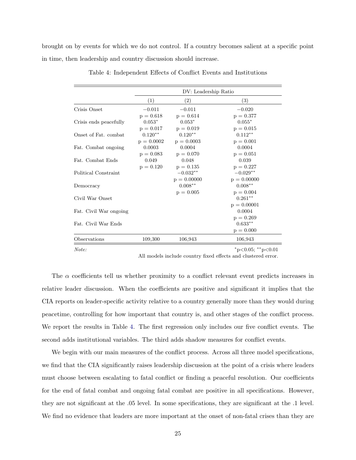<span id="page-26-0"></span>brought on by events for which we do not control. If a country becomes salient at a specific point in time, then leadership and country discussion should increase.

|                        |              | DV: Leadership Ratio |                                          |
|------------------------|--------------|----------------------|------------------------------------------|
|                        | (1)          | (2)                  | (3)                                      |
| Crisis Onset           | $-0.011$     | $-0.011$             | $-0.020$                                 |
|                        | $p = 0.618$  | $p = 0.614$          | $p = 0.377$                              |
| Crisis ends peacefully | $0.053*$     | $0.053*$             | $0.055*$                                 |
|                        | $p = 0.017$  | $p = 0.019$          | $p = 0.015$                              |
| Onset of Fat. combat.  | $0.120**$    | $0.120**$            | $0.112***$                               |
|                        | $p = 0.0002$ | $p = 0.0003$         | $p = 0.001$                              |
| Fat. Combat ongoing    | 0.0003       | 0.0004               | 0.0004                                   |
|                        | $p = 0.083$  | $p = 0.070$          | $p = 0.051$                              |
| Fat. Combat Ends       | 0.049        | 0.048                | 0.039                                    |
|                        | $p = 0.120$  | $p = 0.135$          | $p = 0.227$                              |
| Political Constraint   |              | $-0.032**$           | $-0.029**$                               |
|                        |              | $p = 0.00000$        | $p = 0.00000$                            |
| Democracy              |              | $0.008**$            | $0.008**$                                |
|                        |              | $p = 0.005$          | $p = 0.004$                              |
| Civil War Onset        |              |                      | $0.261**$                                |
|                        |              |                      | $p = 0.00001$                            |
| Fat. Civil War ongoing |              |                      | 0.0004                                   |
|                        |              |                      | $p = 0.269$                              |
| Fat. Civil War Ends    |              |                      | $0.633**$                                |
|                        |              |                      | $p = 0.000$                              |
| Observations           | 109,300      | 106,943              | 106,943                                  |
| Note:                  |              |                      | $*_{\text{p}<0.05;}$ $*_{\text{p}<0.01}$ |

Table 4: Independent Effects of Conflict Events and Institutions

All models include country fixed effects and clustered error.

The  $\alpha$  coefficients tell us whether proximity to a conflict relevant event predicts increases in relative leader discussion. When the coefficients are positive and significant it implies that the CIA reports on leader-specific activity relative to a country generally more than they would during peacetime, controlling for how important that country is, and other stages of the conflict process. We report the results in Table [4.](#page-26-0) The first regression only includes our five conflict events. The second adds institutional variables. The third adds shadow measures for conflict events.

We begin with our main measures of the conflict process. Across all three model specifications, we find that the CIA significantly raises leadership discussion at the point of a crisis where leaders must choose between escalating to fatal conflict or finding a peaceful resolution. Our coefficients for the end of fatal combat and ongoing fatal combat are positive in all specifications. However, they are not significant at the .05 level. In some specifications, they are significant at the .1 level. We find no evidence that leaders are more important at the onset of non-fatal crises than they are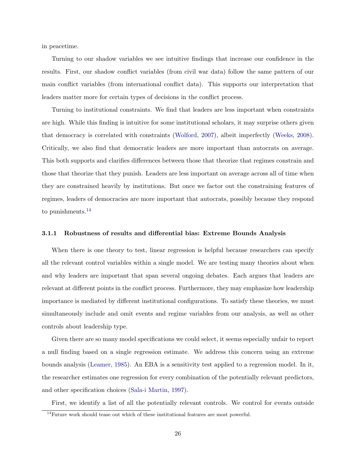in peacetime.

Turning to our shadow variables we see intuitive findings that increase our confidence in the results. First, our shadow conflict variables (from civil war data) follow the same pattern of our main conflict variables (from international conflict data). This supports our interpretation that leaders matter more for certain types of decisions in the conflict process.

Turning to institutional constraints. We find that leaders are less important when constraints are high. While this finding is intuitive for some institutional scholars, it may surprise others given that democracy is correlated with constraints [\(Wolford,](#page-41-10) [2007\)](#page-41-10), albeit imperfectly [\(Weeks,](#page-41-15) [2008\)](#page-41-15). Critically, we also find that democratic leaders are more important than autocrats on average. This both supports and clarifies differences between those that theorize that regimes constrain and those that theorize that they punish. Leaders are less important on average across all of time when they are constrained heavily by institutions. But once we factor out the constraining features of regimes, leaders of democracies are more important that autocrats, possibly because they respond to punishments.[14](#page-27-0)

### 3.1.1 Robustness of results and differential bias: Extreme Bounds Analysis

When there is one theory to test, linear regression is helpful because researchers can specify all the relevant control variables within a single model. We are testing many theories about when and why leaders are important that span several ongoing debates. Each argues that leaders are relevant at different points in the conflict process. Furthermore, they may emphasize how leadership importance is mediated by different institutional configurations. To satisfy these theories, we must simultaneously include and omit events and regime variables from our analysis, as well as other controls about leadership type.

Given there are so many model specifications we could select, it seems especially unfair to report a null finding based on a single regression estimate. We address this concern using an extreme bounds analysis [\(Leamer,](#page-40-17) [1985\)](#page-40-17). An EBA is a sensitivity test applied to a regression model. In it, the researcher estimates one regression for every combination of the potentially relevant predictors, and other specification choices [\(Sala-i Martin,](#page-41-16) [1997\)](#page-41-16).

First, we identify a list of all the potentially relevant controls. We control for events outside

<span id="page-27-0"></span> $14$ Future work should tease out which of these institutional features are most powerful.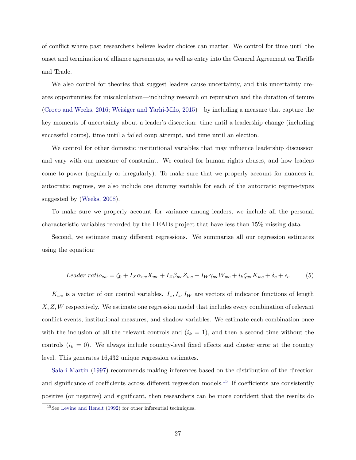of conflict where past researchers believe leader choices can matter. We control for time until the onset and termination of alliance agreements, as well as entry into the General Agreement on Tariffs and Trade.

We also control for theories that suggest leaders cause uncertainty, and this uncertainty creates opportunities for miscalculation—including research on reputation and the duration of tenure [\(Croco and Weeks,](#page-38-14) [2016;](#page-38-14) [Weisiger and Yarhi-Milo,](#page-41-17) [2015\)](#page-41-17)—by including a measure that capture the key moments of uncertainty about a leader's discretion: time until a leadership change (including successful coups), time until a failed coup attempt, and time until an election.

We control for other domestic institutional variables that may influence leadership discussion and vary with our measure of constraint. We control for human rights abuses, and how leaders come to power (regularly or irregularly). To make sure that we properly account for nuances in autocratic regimes, we also include one dummy variable for each of the autocratic regime-types suggested by [\(Weeks,](#page-41-15) [2008\)](#page-41-15).

To make sure we properly account for variance among leaders, we include all the personal characteristic variables recorded by the LEADs project that have less than 15% missing data.

Second, we estimate many different regressions. We summarize all our regression estimates using the equation:

$$
Leader \ ratio_{cw} = \zeta_0 + I_X \alpha_{wc} X_{wc} + I_Z \beta_{wc} Z_{wc} + I_W \gamma_{wc} W_{wc} + i_k \zeta_{wc} K_{wc} + \delta_c + \epsilon_c \tag{5}
$$

 $K_{wc}$  is a vector of our control variables.  $I_x, I_z, I_W$  are vectors of indicator functions of length X, Z, W respectively. We estimate one regression model that includes every combination of relevant conflict events, institutional measures, and shadow variables. We estimate each combination once with the inclusion of all the relevant controls and  $(i_k = 1)$ , and then a second time without the controls  $(i_k = 0)$ . We always include country-level fixed effects and cluster error at the country level. This generates 16,432 unique regression estimates.

[Sala-i Martin](#page-41-16) [\(1997\)](#page-41-16) recommends making inferences based on the distribution of the direction and significance of coefficients across different regression models.<sup>[15](#page-28-0)</sup> If coefficients are consistently positive (or negative) and significant, then researchers can be more confident that the results do

<span id="page-28-0"></span><sup>15</sup>See [Levine and Renelt](#page-40-18) [\(1992\)](#page-40-18) for other inferential techniques.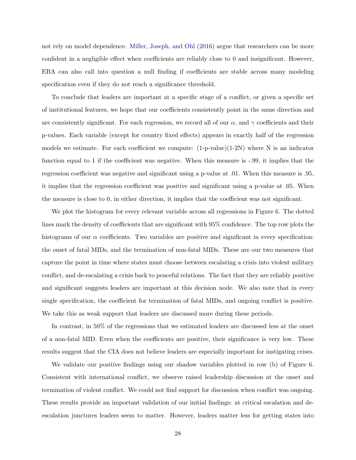not rely on model dependence. [Miller, Joseph, and Ohl](#page-41-18) [\(2016\)](#page-41-18) argue that researchers can be more confident in a negligible effect when coefficients are reliably close to 0 and insignificant. However, EBA can also call into question a null finding if coefficients are stable across many modeling specification even if they do not reach a significance threshold.

To conclude that leaders are important at a specific stage of a conflict, or given a specific set of institutional features, we hope that our coefficients consistently point in the same direction and are consistently significant. For each regression, we record all of our  $\alpha$ , and  $\gamma$  coefficients and their p-values. Each variable (except for country fixed effects) appears in exactly half of the regression models we estimate. For each coefficient we compute:  $(1-p-value)(1-2N)$  where N is an indicator function equal to 1 if the coefficient was negative. When this measure is -.99, it implies that the regression coefficient was negative and significant using a p-value at .01. When this measure is .95, it implies that the regression coefficient was positive and significant using a p-value at .05. When the measure is close to 0, in either direction, it implies that the coefficient was not significant.

We plot the histogram for every relevant variable across all regressions in Figure [6.](#page-30-0) The dotted lines mark the density of coefficients that are significant with 95% confidence. The top row plots the histograms of our  $\alpha$  coefficients. Two variables are positive and significant in every specification: the onset of fatal MIDs, and the termination of non-fatal MIDs. These are our two measures that capture the point in time where states must choose between escalating a crisis into violent military conflict, and de-escalating a crisis back to peaceful relations. The fact that they are reliably positive and significant suggests leaders are important at this decision node. We also note that in every single specification, the coefficient for termination of fatal MIDs, and ongoing conflict is positive. We take this as weak support that leaders are discussed more during these periods.

In contrast, in 50% of the regressions that we estimated leaders are discussed less at the onset of a non-fatal MID. Even when the coefficients are positive, their significance is very low. These results suggest that the CIA does not believe leaders are especially important for instigating crises.

We validate our positive findings using our shadow variables plotted in row (b) of Figure [6.](#page-30-0) Consistent with international conflict, we observe raised leadership discussion at the onset and termination of violent conflict. We could not find support for discussion when conflict was ongoing. These results provide an important validation of our initial findings: at critical escalation and deescalation junctures leaders seem to matter. However, leaders matter less for getting states into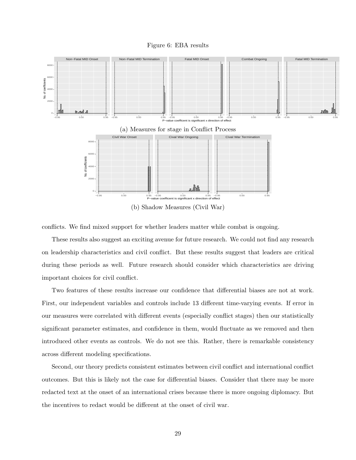

<span id="page-30-0"></span>

conflicts. We find mixed support for whether leaders matter while combat is ongoing.

These results also suggest an exciting avenue for future research. We could not find any research on leadership characteristics and civil conflict. But these results suggest that leaders are critical during these periods as well. Future research should consider which characteristics are driving important choices for civil conflict.

Two features of these results increase our confidence that differential biases are not at work. First, our independent variables and controls include 13 different time-varying events. If error in our measures were correlated with different events (especially conflict stages) then our statistically significant parameter estimates, and confidence in them, would fluctuate as we removed and then introduced other events as controls. We do not see this. Rather, there is remarkable consistency across different modeling specifications.

Second, our theory predicts consistent estimates between civil conflict and international conflict outcomes. But this is likely not the case for differential biases. Consider that there may be more redacted text at the onset of an international crises because there is more ongoing diplomacy. But the incentives to redact would be different at the onset of civil war.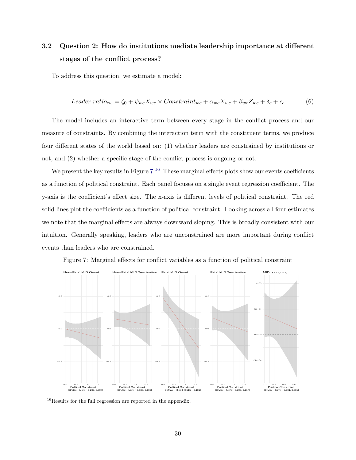# <span id="page-31-2"></span>3.2 Question 2: How do institutions mediate leadership importance at different stages of the conflict process?

To address this question, we estimate a model:

$$
Leader ratio_{cw} = \zeta_0 + \psi_{wc} X_{wc} \times Construct_{cm} + \alpha_{wc} X_{wc} + \beta_{wc} Z_{wc} + \delta_c + \epsilon_c \tag{6}
$$

The model includes an interactive term between every stage in the conflict process and our measure of constraints. By combining the interaction term with the constituent terms, we produce four different states of the world based on: (1) whether leaders are constrained by institutions or not, and  $(2)$  whether a specific stage of the conflict process is ongoing or not.

We present the key results in Figure  $7.^{16}$  $7.^{16}$  $7.^{16}$  $7.^{16}$  These marginal effects plots show our events coefficients as a function of political constraint. Each panel focuses on a single event regression coefficient. The y-axis is the coefficient's effect size. The x-axis is different levels of political constraint. The red solid lines plot the coefficients as a function of political constraint. Looking across all four estimates we note that the marginal effects are always downward sloping. This is broadly consistent with our intuition. Generally speaking, leaders who are unconstrained are more important during conflict events than leaders who are constrained.

<span id="page-31-0"></span>



<span id="page-31-1"></span> $16$ Results for the full regression are reported in the appendix.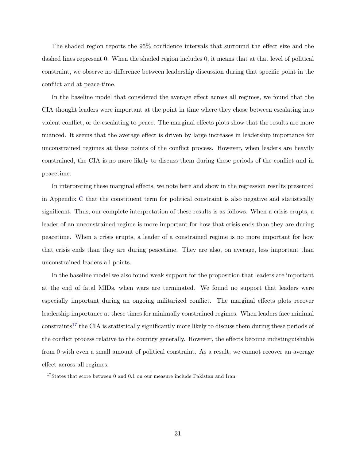The shaded region reports the 95% confidence intervals that surround the effect size and the dashed lines represent 0. When the shaded region includes 0, it means that at that level of political constraint, we observe no difference between leadership discussion during that specific point in the conflict and at peace-time.

In the baseline model that considered the average effect across all regimes, we found that the CIA thought leaders were important at the point in time where they chose between escalating into violent conflict, or de-escalating to peace. The marginal effects plots show that the results are more nuanced. It seems that the average effect is driven by large increases in leadership importance for unconstrained regimes at these points of the conflict process. However, when leaders are heavily constrained, the CIA is no more likely to discuss them during these periods of the conflict and in peacetime.

In interpreting these marginal effects, we note here and show in the regression results presented in Appendix [C](#page-47-0) that the constituent term for political constraint is also negative and statistically significant. Thus, our complete interpretation of these results is as follows. When a crisis erupts, a leader of an unconstrained regime is more important for how that crisis ends than they are during peacetime. When a crisis erupts, a leader of a constrained regime is no more important for how that crisis ends than they are during peacetime. They are also, on average, less important than unconstrained leaders all points.

In the baseline model we also found weak support for the proposition that leaders are important at the end of fatal MIDs, when wars are terminated. We found no support that leaders were especially important during an ongoing militarized conflict. The marginal effects plots recover leadership importance at these times for minimally constrained regimes. When leaders face minimal  $constraints<sup>17</sup>$  $constraints<sup>17</sup>$  $constraints<sup>17</sup>$  the CIA is statistically significantly more likely to discuss them during these periods of the conflict process relative to the country generally. However, the effects become indistinguishable from 0 with even a small amount of political constraint. As a result, we cannot recover an average effect across all regimes.

<span id="page-32-0"></span> $^{17}{\rm States}$  that score between 0 and 0.1 on our measure include Pakistan and Iran.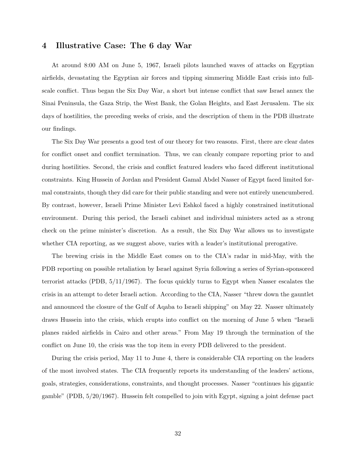### <span id="page-33-0"></span>4 Illustrative Case: The 6 day War

At around 8:00 AM on June 5, 1967, Israeli pilots launched waves of attacks on Egyptian airfields, devastating the Egyptian air forces and tipping simmering Middle East crisis into fullscale conflict. Thus began the Six Day War, a short but intense conflict that saw Israel annex the Sinai Peninsula, the Gaza Strip, the West Bank, the Golan Heights, and East Jerusalem. The six days of hostilities, the preceding weeks of crisis, and the description of them in the PDB illustrate our findings.

The Six Day War presents a good test of our theory for two reasons. First, there are clear dates for conflict onset and conflict termination. Thus, we can cleanly compare reporting prior to and during hostilities. Second, the crisis and conflict featured leaders who faced different institutional constraints. King Hussein of Jordan and President Gamal Abdel Nasser of Egypt faced limited formal constraints, though they did care for their public standing and were not entirely unencumbered. By contrast, however, Israeli Prime Minister Levi Eshkol faced a highly constrained institutional environment. During this period, the Israeli cabinet and individual ministers acted as a strong check on the prime minister's discretion. As a result, the Six Day War allows us to investigate whether CIA reporting, as we suggest above, varies with a leader's institutional prerogative.

The brewing crisis in the Middle East comes on to the CIA's radar in mid-May, with the PDB reporting on possible retaliation by Israel against Syria following a series of Syrian-sponsored terrorist attacks (PDB, 5/11/1967). The focus quickly turns to Egypt when Nasser escalates the crisis in an attempt to deter Israeli action. According to the CIA, Nasser "threw down the gauntlet and announced the closure of the Gulf of Aqaba to Israeli shipping" on May 22. Nasser ultimately draws Hussein into the crisis, which erupts into conflict on the morning of June 5 when "Israeli planes raided airfields in Cairo and other areas." From May 19 through the termination of the conflict on June 10, the crisis was the top item in every PDB delivered to the president.

During the crisis period, May 11 to June 4, there is considerable CIA reporting on the leaders of the most involved states. The CIA frequently reports its understanding of the leaders' actions, goals, strategies, considerations, constraints, and thought processes. Nasser "continues his gigantic gamble" (PDB, 5/20/1967). Hussein felt compelled to join with Egypt, signing a joint defense pact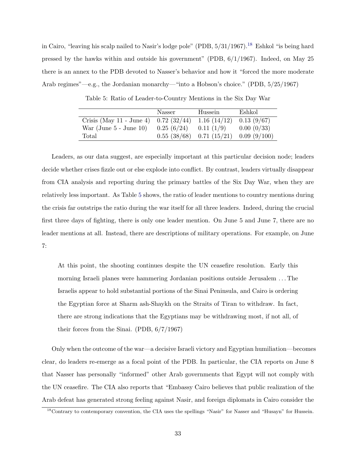in Cairo, "leaving his scalp nailed to Nasir's lodge pole" (PDB,  $5/31/1967$ ).<sup>[18](#page-34-0)</sup> Eshkol "is being hard pressed by the hawks within and outside his government" (PDB, 6/1/1967). Indeed, on May 25 there is an annex to the PDB devoted to Nasser's behavior and how it "forced the more moderate Arab regimes"—e.g., the Jordanian monarchy—"into a Hobson's choice." (PDB, 5/25/1967)

<span id="page-34-1"></span>

|                             | Nasser                    | Hussein                                   | Eshkol      |
|-----------------------------|---------------------------|-------------------------------------------|-------------|
| Crisis (May $11$ - June 4)  | 0.72(32/44)               | $1.16(14/12)$ 0.13 (9/67)                 |             |
| War (June $5$ - June $10$ ) | $0.25(6/24)$ 0.11 $(1/9)$ |                                           | 0.00~(0/33) |
| Total                       |                           | $0.55(38/68)$ $0.71(15/21)$ $0.09(9/100)$ |             |

Table 5: Ratio of Leader-to-Country Mentions in the Six Day War

Leaders, as our data suggest, are especially important at this particular decision node; leaders decide whether crises fizzle out or else explode into conflict. By contrast, leaders virtually disappear from CIA analysis and reporting during the primary battles of the Six Day War, when they are relatively less important. As Table [5](#page-34-1) shows, the ratio of leader mentions to country mentions during the crisis far outstrips the ratio during the war itself for all three leaders. Indeed, during the crucial first three days of fighting, there is only one leader mention. On June 5 and June 7, there are no leader mentions at all. Instead, there are descriptions of military operations. For example, on June 7:

At this point, the shooting continues despite the UN ceasefire resolution. Early this morning Israeli planes were hammering Jordanian positions outside Jerusalem . . . The Israelis appear to hold substantial portions of the Sinai Peninsula, and Cairo is ordering the Egyptian force at Sharm ash-Shaykh on the Straits of Tiran to withdraw. In fact, there are strong indications that the Egyptians may be withdrawing most, if not all, of their forces from the Sinai. (PDB, 6/7/1967)

Only when the outcome of the war—a decisive Israeli victory and Egyptian humiliation—becomes clear, do leaders re-emerge as a focal point of the PDB. In particular, the CIA reports on June 8 that Nasser has personally "informed" other Arab governments that Egypt will not comply with the UN ceasefire. The CIA also reports that "Embassy Cairo believes that public realization of the Arab defeat has generated strong feeling against Nasir, and foreign diplomats in Cairo consider the

<span id="page-34-0"></span><sup>18</sup>Contrary to contemporary convention, the CIA uses the spellings "Nasir" for Nasser and "Husayn" for Hussein.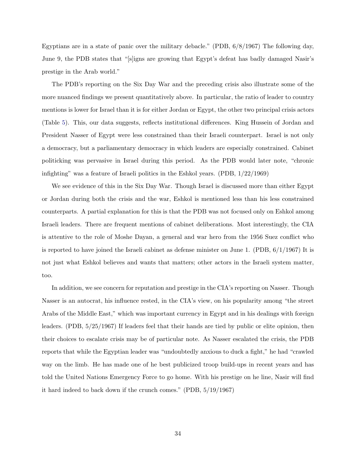Egyptians are in a state of panic over the military debacle." (PDB, 6/8/1967) The following day, June 9, the PDB states that "[s]igns are growing that Egypt's defeat has badly damaged Nasir's prestige in the Arab world."

The PDB's reporting on the Six Day War and the preceding crisis also illustrate some of the more nuanced findings we present quantitatively above. In particular, the ratio of leader to country mentions is lower for Israel than it is for either Jordan or Egypt, the other two principal crisis actors (Table [5\)](#page-34-1). This, our data suggests, reflects institutional differences. King Hussein of Jordan and President Nasser of Egypt were less constrained than their Israeli counterpart. Israel is not only a democracy, but a parliamentary democracy in which leaders are especially constrained. Cabinet politicking was pervasive in Israel during this period. As the PDB would later note, "chronic infighting" was a feature of Israeli politics in the Eshkol years. (PDB, 1/22/1969)

We see evidence of this in the Six Day War. Though Israel is discussed more than either Egypt or Jordan during both the crisis and the war, Eshkol is mentioned less than his less constrained counterparts. A partial explanation for this is that the PDB was not focused only on Eshkol among Israeli leaders. There are frequent mentions of cabinet deliberations. Most interestingly, the CIA is attentive to the role of Moshe Dayan, a general and war hero from the 1956 Suez conflict who is reported to have joined the Israeli cabinet as defense minister on June 1. (PDB,  $6/1/1967$ ) It is not just what Eshkol believes and wants that matters; other actors in the Israeli system matter, too.

In addition, we see concern for reputation and prestige in the CIA's reporting on Nasser. Though Nasser is an autocrat, his influence rested, in the CIA's view, on his popularity among "the street Arabs of the Middle East," which was important currency in Egypt and in his dealings with foreign leaders. (PDB, 5/25/1967) If leaders feel that their hands are tied by public or elite opinion, then their choices to escalate crisis may be of particular note. As Nasser escalated the crisis, the PDB reports that while the Egyptian leader was "undoubtedly anxious to duck a fight," he had "crawled way on the limb. He has made one of he best publicized troop build-ups in recent years and has told the United Nations Emergency Force to go home. With his prestige on he line, Nasir will find it hard indeed to back down if the crunch comes." (PDB, 5/19/1967)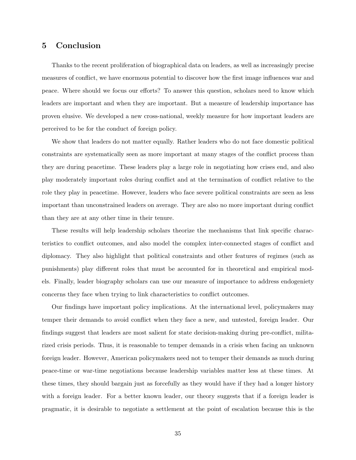## 5 Conclusion

Thanks to the recent proliferation of biographical data on leaders, as well as increasingly precise measures of conflict, we have enormous potential to discover how the first image influences war and peace. Where should we focus our efforts? To answer this question, scholars need to know which leaders are important and when they are important. But a measure of leadership importance has proven elusive. We developed a new cross-national, weekly measure for how important leaders are perceived to be for the conduct of foreign policy.

We show that leaders do not matter equally. Rather leaders who do not face domestic political constraints are systematically seen as more important at many stages of the conflict process than they are during peacetime. These leaders play a large role in negotiating how crises end, and also play moderately important roles during conflict and at the termination of conflict relative to the role they play in peacetime. However, leaders who face severe political constraints are seen as less important than unconstrained leaders on average. They are also no more important during conflict than they are at any other time in their tenure.

These results will help leadership scholars theorize the mechanisms that link specific characteristics to conflict outcomes, and also model the complex inter-connected stages of conflict and diplomacy. They also highlight that political constraints and other features of regimes (such as punishments) play different roles that must be accounted for in theoretical and empirical models. Finally, leader biography scholars can use our measure of importance to address endogeniety concerns they face when trying to link characteristics to conflict outcomes.

Our findings have important policy implications. At the international level, policymakers may temper their demands to avoid conflict when they face a new, and untested, foreign leader. Our findings suggest that leaders are most salient for state decision-making during pre-conflict, militarized crisis periods. Thus, it is reasonable to temper demands in a crisis when facing an unknown foreign leader. However, American policymakers need not to temper their demands as much during peace-time or war-time negotiations because leadership variables matter less at these times. At these times, they should bargain just as forcefully as they would have if they had a longer history with a foreign leader. For a better known leader, our theory suggests that if a foreign leader is pragmatic, it is desirable to negotiate a settlement at the point of escalation because this is the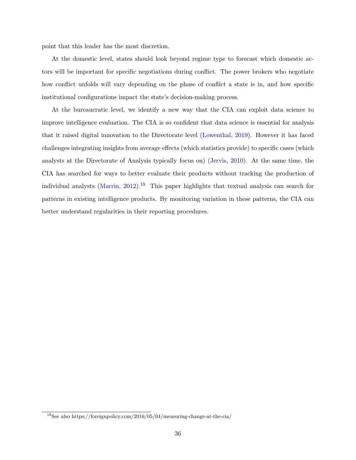point that this leader has the most discretion.

At the domestic level, states should look beyond regime type to forecast which domestic actors will be important for specific negotiations during conflict. The power brokers who negotiate how conflict unfolds will vary depending on the phase of conflict a state is in, and how specific institutional configurations impact the state's decision-making process.

At the bureaucratic level, we identify a new way that the CIA can exploit data science to improve intelligence evaluation. The CIA is so confident that data science is essential for analysis that it raised digital innovation to the Directorate level [\(Lowenthal,](#page-40-10) [2019\)](#page-40-10). However it has faced challenges integrating insights from average effects (which statistics provide) to specific cases (which analysts at the Directorate of Analysis typically focus on) [\(Jervis,](#page-39-8) [2010\)](#page-39-8). At the same time, the CIA has searched for ways to better evaluate their products without tracking the production of individual analysts [\(Marrin,](#page-40-6) [2012\)](#page-40-6).<sup>[19](#page-37-0)</sup> This paper highlights that textual analysis can search for patterns in existing intelligence products. By monitoring variation in these patterns, the CIA can better understand regularities in their reporting procedures.

<span id="page-37-0"></span><sup>19</sup>See also https://foreignpolicy.com/2016/05/04/measuring-change-at-the-cia/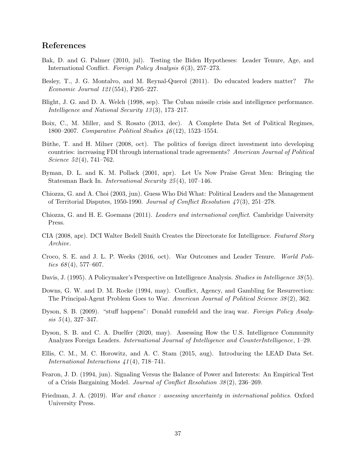## References

- <span id="page-38-3"></span>Bak, D. and G. Palmer (2010, jul). Testing the Biden Hypotheses: Leader Tenure, Age, and International Conflict. Foreign Policy Analysis 6(3), 257–273.
- <span id="page-38-11"></span>Besley, T., J. G. Montalvo, and M. Reynal-Querol (2011). Do educated leaders matter? The Economic Journal 121 (554), F205–227.
- <span id="page-38-6"></span>Blight, J. G. and D. A. Welch (1998, sep). The Cuban missile crisis and intelligence performance. Intelligence and National Security 13 (3), 173–217.
- <span id="page-38-8"></span>Boix, C., M. Miller, and S. Rosato (2013, dec). A Complete Data Set of Political Regimes, 1800–2007. Comparative Political Studies 46 (12), 1523–1554.
- <span id="page-38-7"></span>Büthe, T. and H. Milner (2008, oct). The politics of foreign direct investment into developing countries: increasing FDI through international trade agreements? American Journal of Political Science  $52(4)$ , 741–762.
- <span id="page-38-12"></span>Byman, D. L. and K. M. Pollack (2001, apr). Let Us Now Praise Great Men: Bringing the Statesman Back In. International Security 25 (4), 107–146.
- <span id="page-38-10"></span>Chiozza, G. and A. Choi (2003, jun). Guess Who Did What: Political Leaders and the Management of Territorial Disputes, 1950-1990. Journal of Conflict Resolution  $\frac{47(3)}{251-278}$ .
- <span id="page-38-1"></span>Chiozza, G. and H. E. Goemans (2011). Leaders and international conflict. Cambridge University Press.
- <span id="page-38-15"></span>CIA (2008, apr). DCI Walter Bedell Smith Creates the Directorate for Intelligence. Featured Story Archive.
- <span id="page-38-14"></span>Croco, S. E. and J. L. P. Weeks (2016, oct). War Outcomes and Leader Tenure. World Politics  $68(4)$ , 577–607.
- <span id="page-38-4"></span>Davis, J. (1995). A Policymaker's Perspective on Intelligence Analysis. Studies in Intelligence 38 (5).
- <span id="page-38-2"></span>Downs, G. W. and D. M. Rocke (1994, may). Conflict, Agency, and Gambling for Resurrection: The Principal-Agent Problem Goes to War. American Journal of Political Science 38 (2), 362.
- <span id="page-38-13"></span>Dyson, S. B. (2009). "stuff happens": Donald rumsfeld and the iraq war. Foreign Policy Analy $sis\ 5(4),\ 327-347.$
- <span id="page-38-5"></span>Dyson, S. B. and C. A. Duelfer (2020, may). Assessing How the U.S. Intelligence Community Analyzes Foreign Leaders. International Journal of Intelligence and CounterIntelligence, 1–29.
- <span id="page-38-0"></span>Ellis, C. M., M. C. Horowitz, and A. C. Stam (2015, aug). Introducing the LEAD Data Set. International Interactions  $\angle 41(4)$ , 718–741.
- <span id="page-38-16"></span>Fearon, J. D. (1994, jun). Signaling Versus the Balance of Power and Interests: An Empirical Test of a Crisis Bargaining Model. Journal of Conflict Resolution 38 (2), 236–269.
- <span id="page-38-9"></span>Friedman, J. A. (2019). War and chance : assessing uncertainty in international politics. Oxford University Press.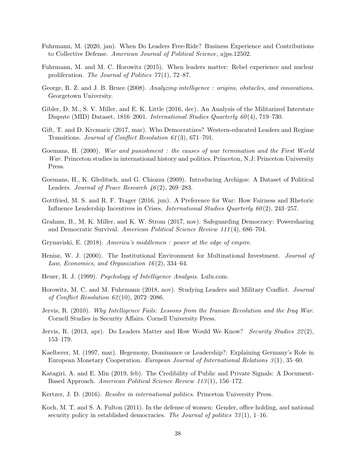- <span id="page-39-1"></span>Fuhrmann, M. (2020, jan). When Do Leaders Free-Ride? Business Experience and Contributions to Collective Defense. American Journal of Political Science, ajps.12502.
- <span id="page-39-15"></span>Fuhrmann, M. and M. C. Horowitz (2015). When leaders matter: Rebel experience and nuclear proliferation. The Journal of Politics  $77(1)$ , 72–87.
- <span id="page-39-7"></span>George, R. Z. and J. B. Bruce (2008). Analyzing intelligence : origins, obstacles, and innovations. Georgetown University.
- <span id="page-39-18"></span>Gibler, D. M., S. V. Miller, and E. K. Little (2016, dec). An Analysis of the Militarized Interstate Dispute (MID) Dataset, 1816–2001. International Studies Quarterly 60 (4), 719–730.
- <span id="page-39-2"></span>Gift, T. and D. Krcmaric (2017, mar). Who Democratizes? Western-educated Leaders and Regime Transitions. Journal of Conflict Resolution 61 (3), 671–701.
- <span id="page-39-5"></span>Goemans, H. (2000). War and punishment : the causes of war termination and the First World War. Princeton studies in international history and politics. Princeton, N.J: Princeton University Press.
- <span id="page-39-0"></span>Goemans, H., K. Gleditsch, and G. Chiozza (2009). Introducing Archigos: A Dataset of Political Leaders. Journal of Peace Research  $46(2)$ , 269–283.
- <span id="page-39-4"></span>Gottfried, M. S. and R. F. Trager (2016, jun). A Preference for War: How Fairness and Rhetoric Influence Leadership Incentives in Crises. *International Studies Quarterly 60(2)*, 243–257.
- <span id="page-39-11"></span>Graham, B., M. K. Miller, and K. W. Strom (2017, nov). Safeguarding Democracy: Powersharing and Democratic Survival. American Political Science Review 111 (4), 686–704.
- <span id="page-39-9"></span>Grynaviski, E. (2018). America's middlemen : power at the edge of empire.
- <span id="page-39-10"></span>Henisz, W. J. (2000). The Institutional Environment for Multinational Investment. Journal of Law, Economics, and Organization  $16(2)$ , 334–64.
- <span id="page-39-17"></span>Heuer, R. J. (1999). *Psychology of Intelligence Analysis*. Lulu.com.
- <span id="page-39-3"></span>Horowitz, M. C. and M. Fuhrmann (2018, nov). Studying Leaders and Military Conflict. Journal of Conflict Resolution  $62(10)$ , 2072–2086.
- <span id="page-39-8"></span>Jervis, R. (2010). Why Intelligence Fails: Lessons from the Iranian Revolution and the Iraq War. Cornell Studies in Security Affairs. Cornell University Press.
- <span id="page-39-6"></span>Jervis, R. (2013, apr). Do Leaders Matter and How Would We Know? Security Studies  $22(2)$ , 153–179.
- <span id="page-39-16"></span>Kaelberer, M. (1997, mar). Hegemony, Dominance or Leadership?: Explaining Germany's Role in European Monetary Cooperation. European Journal of International Relations 3 (1), 35–60.
- <span id="page-39-13"></span>Katagiri, A. and E. Min (2019, feb). The Credibility of Public and Private Signals: A Document-Based Approach. American Political Science Review 113 (1), 156–172.
- <span id="page-39-12"></span>Kertzer, J. D. (2016). Resolve in international politics. Princeton University Press.
- <span id="page-39-14"></span>Koch, M. T. and S. A. Fulton (2011). In the defense of women: Gender, office holding, and national security policy in established democracies. The Journal of politics  $73(1)$ , 1–16.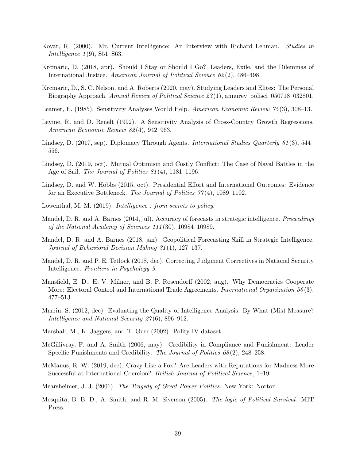- <span id="page-40-5"></span>Kovar, R. (2000). Mr. Current Intelligence: An Interview with Richard Lehman. Studies in Intelligence  $1(9)$ , S51–S63.
- <span id="page-40-3"></span>Krcmaric, D. (2018, apr). Should I Stay or Should I Go? Leaders, Exile, and the Dilemmas of International Justice. American Journal of Political Science  $62(2)$ , 486–498.
- <span id="page-40-4"></span>Krcmaric, D., S. C. Nelson, and A. Roberts (2020, may). Studying Leaders and Elites: The Personal Biography Approach. Annual Review of Political Science 23 (1), annurev–polisci–050718–032801.
- <span id="page-40-17"></span>Leamer, E. (1985). Sensitivity Analyses Would Help. American Economic Review 75(3), 308–13.
- <span id="page-40-18"></span>Levine, R. and D. Renelt (1992). A Sensitivity Analysis of Cross-Country Growth Regressions. American Economic Review 82 (4), 942–963.
- <span id="page-40-12"></span>Lindsey, D. (2017, sep). Diplomacy Through Agents. *International Studies Quarterly 61* (3), 544– 556.
- <span id="page-40-11"></span>Lindsey, D. (2019, oct). Mutual Optimism and Costly Conflict: The Case of Naval Battles in the Age of Sail. The Journal of Politics 81 (4), 1181–1196.
- <span id="page-40-0"></span>Lindsey, D. and W. Hobbs (2015, oct). Presidential Effort and International Outcomes: Evidence for an Executive Bottleneck. The Journal of Politics 77 (4), 1089–1102.
- <span id="page-40-10"></span>Lowenthal, M. M. (2019). *Intelligence : from secrets to policy*.
- <span id="page-40-7"></span>Mandel, D. R. and A. Barnes (2014, jul). Accuracy of forecasts in strategic intelligence. Proceedings of the National Academy of Sciences 111 (30), 10984–10989.
- <span id="page-40-8"></span>Mandel, D. R. and A. Barnes (2018, jan). Geopolitical Forecasting Skill in Strategic Intelligence. Journal of Behavioral Decision Making 31 (1), 127–137.
- <span id="page-40-16"></span>Mandel, D. R. and P. E. Tetlock (2018, dec). Correcting Judgment Correctives in National Security Intelligence. Frontiers in Psychology 9.
- <span id="page-40-9"></span>Mansfield, E. D., H. V. Milner, and B. P. Rosendorff (2002, aug). Why Democracies Cooperate More: Electoral Control and International Trade Agreements. International Organization 56(3), 477–513.
- <span id="page-40-6"></span>Marrin, S. (2012, dec). Evaluating the Quality of Intelligence Analysis: By What (Mis) Measure? Intelligence and National Security 27(6), 896–912.
- <span id="page-40-15"></span>Marshall, M., K. Jaggers, and T. Gurr (2002). Polity IV dataset.
- <span id="page-40-14"></span>McGillivray, F. and A. Smith (2006, may). Credibility in Compliance and Punishment: Leader Specific Punishments and Credibility. The Journal of Politics 68(2), 248–258.
- <span id="page-40-1"></span>McManus, R. W. (2019, dec). Crazy Like a Fox? Are Leaders with Reputations for Madness More Successful at International Coercion? British Journal of Political Science, 1–19.
- <span id="page-40-2"></span>Mearsheimer, J. J. (2001). The Tragedy of Great Power Politics. New York: Norton.
- <span id="page-40-13"></span>Mesquita, B. B. D., A. Smith, and R. M. Siverson (2005). The logic of Political Survival. MIT Press.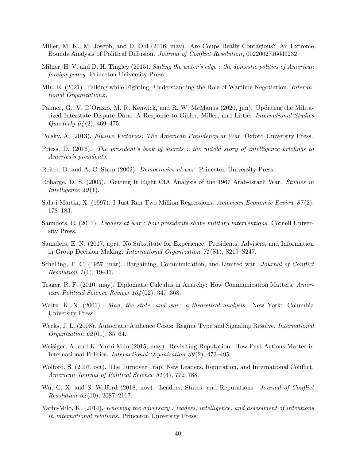- <span id="page-41-18"></span>Miller, M. K., M. Joseph, and D. Ohl (2016, may). Are Coups Really Contagious? An Extreme Bounds Analysis of Political Diffusion. Journal of Conflict Resolution, 0022002716649232.
- <span id="page-41-2"></span>Milner, H. V. and D. H. Tingley (2015). Sailing the water's edge: the domestic politics of American foreign policy. Princeton University Press.
- <span id="page-41-5"></span>Min, E. (2021). Talking while Fighting: Understanding the Role of Wartime Negotiation. International Organization2 .
- <span id="page-41-14"></span>Palmer, G., V. D'Orazio, M. R. Kenwick, and R. W. McManus (2020, jun). Updating the Militarized Interstate Dispute Data: A Response to Gibler, Miller, and Little. International Studies Quarterly  $64(2)$ , 469-475.
- <span id="page-41-3"></span>Polsky, A. (2013). Elusive Victories: The American Presidency at War. Oxford University Press.
- <span id="page-41-6"></span>Priess, D. (2016). The president's book of secrets : the untold story of intelligence briefings to America's presidents.
- <span id="page-41-13"></span>Reiter, D. and A. C. Stam (2002). Democracies at war. Princeton University Press.
- <span id="page-41-7"></span>Robarge, D. S. (2005). Getting It Right CIA Analysis of the 1967 Arab-Israeli War. Studies in Intelligence  $49(1)$ .
- <span id="page-41-16"></span>Sala-i Martin, X. (1997). I Just Ran Two Million Regressions. American Economic Review  $87(2)$ , 178–183.
- <span id="page-41-4"></span>Saunders, E. (2011). Leaders at war : how presidents shape military interventions. Cornell University Press.
- <span id="page-41-12"></span>Saunders, E. N. (2017, apr). No Substitute for Experience: Presidents, Advisers, and Information in Group Decision Making. International Organization 71 (S1), S219–S247.
- <span id="page-41-11"></span>Schelling, T. C. (1957, mar). Bargaining, Communication, and Limited war. Journal of Conflict *Resolution*  $1(1)$ , 19–36.
- <span id="page-41-9"></span>Trager, R. F. (2010, may). Diplomatic Calculus in Anarchy: How Communication Matters. American Political Science Review 104 (02), 347–368.
- <span id="page-41-0"></span>Waltz, K. N. (2001). Man, the state, and war: a theoretical analysis. New York: Columbia University Press.
- <span id="page-41-15"></span>Weeks, J. L. (2008). Autocratic Audience Costs: Regime Type and Signaling Resolve. *International Organization 62*(01), 35–64.
- <span id="page-41-17"></span>Weisiger, A. and K. Yarhi-Milo (2015, may). Revisiting Reputation: How Past Actions Matter in International Politics. *International Organization 69(2)*, 473-495.
- <span id="page-41-10"></span>Wolford, S. (2007, oct). The Turnover Trap: New Leaders, Reputation, and International Conflict. American Journal of Political Science 51 (4), 772–788.
- <span id="page-41-8"></span>Wu, C. X. and S. Wolford (2018, nov). Leaders, States, and Reputations. *Journal of Conflict*  $Resolution 62(10), 2087-2117.$
- <span id="page-41-1"></span>Yarhi-Milo, K. (2014). *Knowing the adversary : leaders, intelligence, and assessment of intentions* in international relations. Princeton University Press.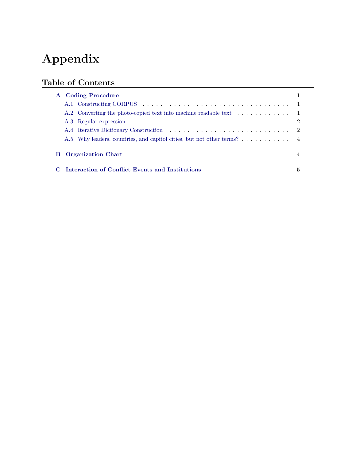# Appendix

# Table of Contents

| A Coding Procedure                                                     |   |  |
|------------------------------------------------------------------------|---|--|
|                                                                        |   |  |
|                                                                        |   |  |
|                                                                        |   |  |
|                                                                        |   |  |
| A.5 Why leaders, countries, and capitol cities, but not other terms? 4 |   |  |
| <b>Organization Chart</b><br>в                                         |   |  |
| Interaction of Conflict Events and Institutions                        | 5 |  |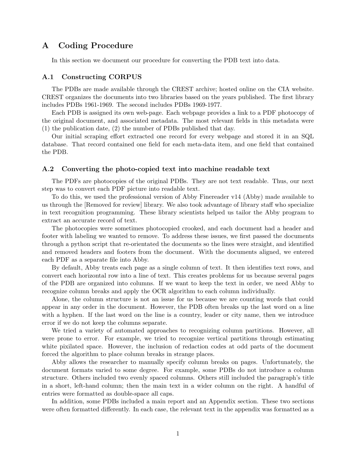### <span id="page-43-0"></span>A Coding Procedure

In this section we document our procedure for converting the PDB text into data.

### <span id="page-43-1"></span>A.1 Constructing CORPUS

The PDBs are made available through the CREST archive; hosted online on the CIA website. CREST organizes the documents into two libraries based on the years published. The first library includes PDBs 1961-1969. The second includes PDBs 1969-1977.

Each PDB is assigned its own web-page. Each webpage provides a link to a PDF photocopy of the original document, and associated metadata. The most relevant fields in this metadata were (1) the publication date, (2) the number of PDBs published that day.

Our initial scraping effort extracted one record for every webpage and stored it in an SQL database. That record contained one field for each meta-data item, and one field that contained the PDB.

### <span id="page-43-2"></span>A.2 Converting the photo-copied text into machine readable text

The PDFs are photocopies of the original PDBs. They are not text readable. Thus, our next step was to convert each PDF picture into readable text.

To do this, we used the professional version of Abby Finereader v14 (Abby) made available to us through the [Removed for review] library. We also took advantage of library staff who specialize in text recognition programming. These library scientists helped us tailor the Abby program to extract an accurate record of text.

The photocopies were sometimes photocopied crooked, and each document had a header and footer with labeling we wanted to remove. To address these issues, we first passed the documents through a python script that re-orientated the documents so the lines were straight, and identified and removed headers and footers from the document. With the documents aligned, we entered each PDF as a separate file into Abby.

By default, Abby treats each page as a single column of text. It then identifies text rows, and convert each horizontal row into a line of text. This creates problems for us because several pages of the PDB are organized into columns. If we want to keep the text in order, we need Abby to recognize column breaks and apply the OCR algorithm to each column individually.

Alone, the column structure is not an issue for us because we are counting words that could appear in any order in the document. However, the PDB often breaks up the last word on a line with a hyphen. If the last word on the line is a country, leader or city name, then we introduce error if we do not keep the columns separate.

We tried a variety of automated approaches to recognizing column partitions. However, all were prone to error. For example, we tried to recognize vertical partitions through estimating white pixilated space. However, the inclusion of redaction codes at odd parts of the document forced the algorithm to place column breaks in strange places.

Abby allows the researcher to manually specify column breaks on pages. Unfortunately, the document formats varied to some degree. For example, some PDBs do not introduce a column structure. Others included two evenly spaced columns. Others still included the paragraph's title in a short, left-hand column; then the main text in a wider column on the right. A handful of entries were formatted as double-space all caps.

In addition, some PDBs included a main report and an Appendix section. These two sections were often formatted differently. In each case, the relevant text in the appendix was formatted as a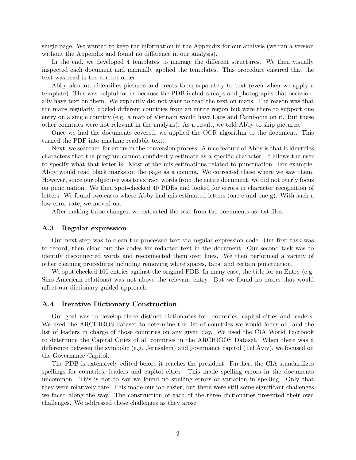single page. We wanted to keep the information in the Appendix for our analysis (we ran a version without the Appendix and found no difference in our analysis).

In the end, we developed 4 templates to manage the different structures. We then visually inspected each document and manually applied the templates. This procedure ensured that the text was read in the correct order.

Abby also auto-identifies pictures and treats them separately to text (even when we apply a template). This was helpful for us because the PDB includes maps and photographs that occasionally have text on them. We explicitly did not want to read the text on maps. The reason was that the maps regularly labeled different countries from an entire region but were there to support one entry on a single country (e.g. a map of Vietnam would have Laos and Cambodia on it. But these other countries were not relevant in the analysis). As a result, we told Abby to skip pictures.

Once we had the documents covered, we applied the OCR algorithm to the document. This turned the PDF into machine readable text.

Next, we searched for errors in the conversion process. A nice feature of Abby is that it identifies characters that the program cannot confidently estimate as a specific character. It allows the user to specify what that letter is. Most of the mis-estimations related to punctuation. For example, Abby would read black marks on the page as a comma. We corrected these where we saw them. However, since our objective was to extract words from the entire document, we did not overly focus on punctuation. We then spot-checked 40 PDBs and looked for errors in character recognition of letters. We found two cases where Abby had mis-estimated letters (one e and one g). With such a low error rate, we moved on.

After making these changes, we extracted the text from the documents as .txt files.

#### <span id="page-44-0"></span>A.3 Regular expression

Our next step was to clean the processed text via regular expression code. Our first task was to record, then clean out the codes for redacted text in the document. Our second task was to identify disconnected words and re-connected them over lines. We then performed a variety of other cleaning procedures including removing white spaces, tabs, and certain punctuation.

We spot checked 100 entries against the original PDB. In many case, the title for an Entry (e.g. Sino-American relations) was not above the relevant entry. But we found no errors that would affect our dictionary guided approach.

#### <span id="page-44-1"></span>A.4 Iterative Dictionary Construction

Our goal was to develop three distinct dictionaries for: countries, capital cities and leaders. We used the ARCHIGOS dataset to determine the list of countries we would focus on, and the list of leaders in charge of those countries on any given day. We used the CIA World Factbook to determine the Capital Cities of all countries in the ARCHIGOS Dataset. When there was a difference between the symbolic (e.g. Jerusalem) and governance capitol (Tel Aviv), we focused on the Governance Capitol.

The PDB is extensively edited before it reaches the president. Further, the CIA standardizes spellings for countries, leaders and capitol cities. This made spelling errors in the documents uncommon. This is not to say we found no spelling errors or variation in spelling. Only that they were relatively rare. This made our job easier, but there were still some significant challenges we faced along the way. The construction of each of the three dictionaries presented their own challenges. We addressed these challenges as they arose.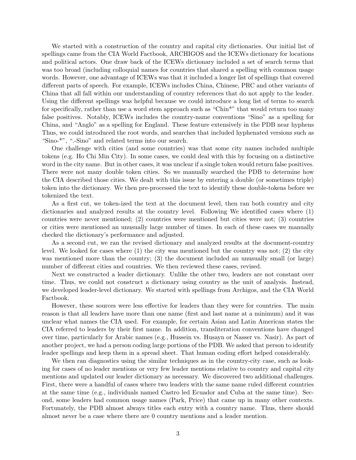We started with a construction of the country and capital city dictionaries. Our initial list of spellings came from the CIA World Factbook, ARCHIGOS and the ICEWs dictionary for locations and political actors. One draw back of the ICEWs dictionary included a set of search terms that was too broad (including colloquial names for countries that shared a spelling with common usage words. However, one advantage of ICEWs was that it included a longer list of spellings that covered different parts of speech. For example, ICEWs includes China, Chinese, PRC and other variants of China that all fall within our understanding of country references that do not apply to the leader. Using the different spellings was helpful because we could introduce a long list of terms to search for specifically, rather than use a word stem approach such as "Chin\*" that would return too many false positives. Notably, ICEWs includes the country-name conventions "Sino" as a spelling for China, and "Anglo" as a spelling for England. These feature extensively in the PDB near hyphens Thus, we could introduced the root words, and searches that included hyphenated versions such as "Sino-\*", ".-Sino" and related terms into our search.

One challenge with cities (and some countries) was that some city names included multiple tokens (e.g. Ho Chi Min City). In some cases, we could deal with this by focusing on a distinctive word in the city name. But in other cases, it was unclear if a single token would return false positives. There were not many double token cities. So we manually searched the PDB to determine how the CIA described those cities. We dealt with this issue by entering a double (or sometimes triple) token into the dictionary. We then pre-processed the text to identify these double-tokens before we tokenized the text.

As a first cut, we token-ized the text at the document level, then ran both country and city dictionaries and analyzed results at the country level. Following We identified cases where (1) countries were never mentioned; (2) countries were mentioned but cities were not; (3) countries or cities were mentioned an unusually large number of times. In each of these cases we manually checked the dictionary's performance and adjusted.

As a second cut, we ran the revised dictionary and analyzed results at the document-country level. We looked for cases where (1) the city was mentioned but the country was not; (2) the city was mentioned more than the country; (3) the document included an unusually small (or large) number of different cities and countries. We then reviewed these cases, revised.

Next we constructed a leader dictionary. Unlike the other two, leaders are not constant over time. Thus, we could not construct a dictionary using country as the unit of analysis. Instead, we developed leader-level dictionary. We started with spellings from Archigos, and the CIA World Factbook.

However, these sources were less effective for leaders than they were for countries. The main reason is that all leaders have more than one name (first and last name at a minimum) and it was unclear what names the CIA used. For example, for certain Asian and Latin American states the CIA referred to leaders by their first name. In addition, transliteration conventions have changed over time, particularly for Arabic names (e.g., Hussein vs. Husayn or Nasser vs. Nasir). As part of another project, we had a person coding large portions of the PDB. We asked that person to identify leader spellings and keep them in a spread sheet. That human coding effort helped considerably.

We then ran diagnostics using the similar techniques as in the country-city case, such as looking for cases of no leader mentions or very few leader mentions relative to country and capital city mentions and updated our leader dictionary as necessary. We discovered two additional challenges. First, there were a handful of cases where two leaders with the same name ruled different countries at the same time (e.g., individuals named Castro led Ecuador and Cuba at the same time). Second, some leaders had common usage names (Park, Price) that came up in many other contexts. Fortunately, the PDB almost always titles each entry with a country name. Thus, there should almost never be a case where there are 0 country mentions and a leader mention.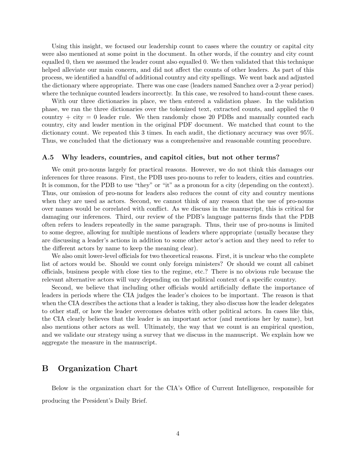Using this insight, we focused our leadership count to cases where the country or capital city were also mentioned at some point in the document. In other words, if the country and city count equalled 0, then we assumed the leader count also equalled 0. We then validated that this technique helped alleviate our main concern, and did not affect the counts of other leaders. As part of this process, we identified a handful of additional country and city spellings. We went back and adjusted the dictionary where appropriate. There was one case (leaders named Sanchez over a 2-year period) where the technique counted leaders incorrectly. In this case, we resolved to hand-count these cases.

With our three dictionaries in place, we then entered a validation phase. In the validation phase, we ran the three dictionaries over the tokenized text, extracted counts, and applied the 0 country  $+$  city  $= 0$  leader rule. We then randomly chose 20 PDBs and manually counted each country, city and leader mention in the original PDF document. We matched that count to the dictionary count. We repeated this 3 times. In each audit, the dictionary accuracy was over 95%. Thus, we concluded that the dictionary was a comprehensive and reasonable counting procedure.

### <span id="page-46-1"></span>A.5 Why leaders, countries, and capitol cities, but not other terms?

We omit pro-nouns largely for practical reasons. However, we do not think this damages our inferences for three reasons. First, the PDB uses pro-nouns to refer to leaders, cities and countries. It is common, for the PDB to use "they" or "it" as a pronoun for a city (depending on the context). Thus, our omission of pro-nouns for leaders also reduces the count of city and country mentions when they are used as actors. Second, we cannot think of any reason that the use of pro-nouns over names would be correlated with conflict. As we discuss in the manuscript, this is critical for damaging our inferences. Third, our review of the PDB's language patterns finds that the PDB often refers to leaders repeatedly in the same paragraph. Thus, their use of pro-nouns is limited to some degree, allowing for multiple mentions of leaders where appropriate (usually because they are discussing a leader's actions in addition to some other actor's action and they need to refer to the different actors by name to keep the meaning clear).

We also omit lower-level officials for two theoretical reasons. First, it is unclear who the complete list of actors would be. Should we count only foreign ministers? Or should we count all cabinet officials, business people with close ties to the regime, etc.? There is no obvious rule because the relevant alternative actors will vary depending on the political context of a specific country.

Second, we believe that including other officials would artificially deflate the importance of leaders in periods where the CIA judges the leader's choices to be important. The reason is that when the CIA describes the actions that a leader is taking, they also discuss how the leader delegates to other staff, or how the leader overcomes debates with other political actors. In cases like this, the CIA clearly believes that the leader is an important actor (and mentions her by name), but also mentions other actors as well. Ultimately, the way that we count is an empirical question, and we validate our strategy using a survey that we discuss in the manuscript. We explain how we aggregate the measure in the manuscript.

### <span id="page-46-0"></span>B Organization Chart

Below is the organization chart for the CIA's Office of Current Intelligence, responsible for producing the President's Daily Brief.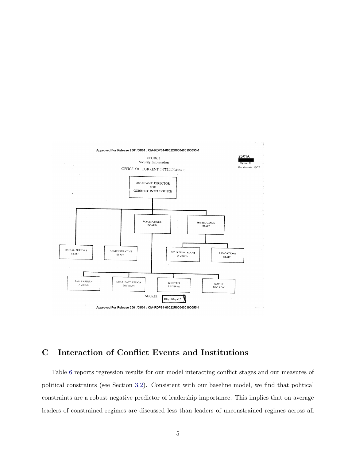

# <span id="page-47-0"></span>C Interaction of Conflict Events and Institutions

Table [6](#page-48-0) reports regression results for our model interacting conflict stages and our measures of political constraints (see Section [3.2\)](#page-31-2). Consistent with our baseline model, we find that political constraints are a robust negative predictor of leadership importance. This implies that on average leaders of constrained regimes are discussed less than leaders of unconstrained regimes across all